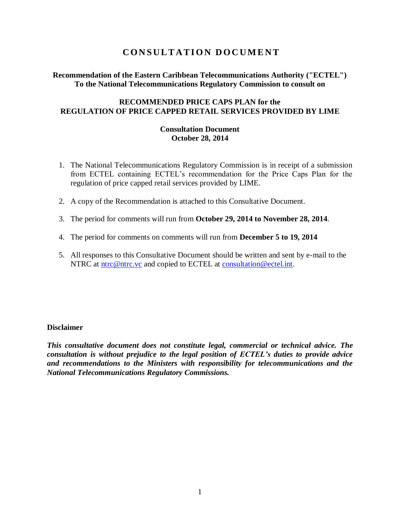# **C O N S U L T A T I O N D O C U M E N T**

## **Recommendation of the Eastern Caribbean Telecommunications Authority ("ECTEL") To the National Telecommunications Regulatory Commission to consult on**

## **RECOMMENDED PRICE CAPS PLAN for the REGULATION OF PRICE CAPPED RETAIL SERVICES PROVIDED BY LIME**

### **Consultation Document October 28, 2014**

- 1. The National Telecommunications Regulatory Commission is in receipt of a submission from ECTEL containing ECTEL's recommendation for the Price Caps Plan for the regulation of price capped retail services provided by LIME.
- 2. A copy of the Recommendation is attached to this Consultative Document.
- 3. The period for comments will run from **October 29, 2014 to November 28, 2014**.
- 4. The period for comments on comments will run from **December 5 to 19, 2014**
- 5. All responses to this Consultative Document should be written and sent by e-mail to the NTRC at [ntrc@ntrc.vc](mailto:ntrc@ntrc.vc) and copied to ECTEL at [consultation@ectel.int.](mailto:consultation@ectel.int)

### **Disclaimer**

*This consultative document does not constitute legal, commercial or technical advice. The consultation is without prejudice to the legal position of ECTEL's duties to provide advice and recommendations to the Ministers with responsibility for telecommunications and the National Telecommunications Regulatory Commissions.*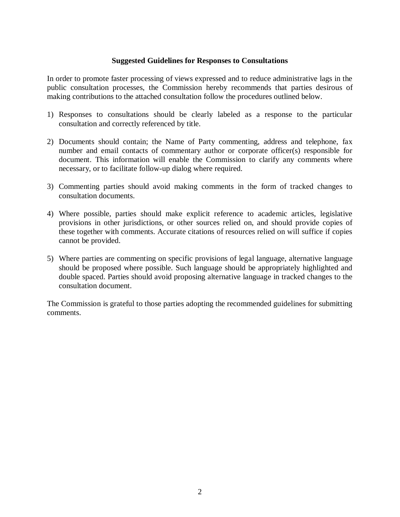### **Suggested Guidelines for Responses to Consultations**

In order to promote faster processing of views expressed and to reduce administrative lags in the public consultation processes, the Commission hereby recommends that parties desirous of making contributions to the attached consultation follow the procedures outlined below.

- 1) Responses to consultations should be clearly labeled as a response to the particular consultation and correctly referenced by title.
- 2) Documents should contain; the Name of Party commenting, address and telephone, fax number and email contacts of commentary author or corporate officer(s) responsible for document. This information will enable the Commission to clarify any comments where necessary, or to facilitate follow-up dialog where required.
- 3) Commenting parties should avoid making comments in the form of tracked changes to consultation documents.
- 4) Where possible, parties should make explicit reference to academic articles, legislative provisions in other jurisdictions, or other sources relied on, and should provide copies of these together with comments. Accurate citations of resources relied on will suffice if copies cannot be provided.
- 5) Where parties are commenting on specific provisions of legal language, alternative language should be proposed where possible. Such language should be appropriately highlighted and double spaced. Parties should avoid proposing alternative language in tracked changes to the consultation document.

The Commission is grateful to those parties adopting the recommended guidelines for submitting comments.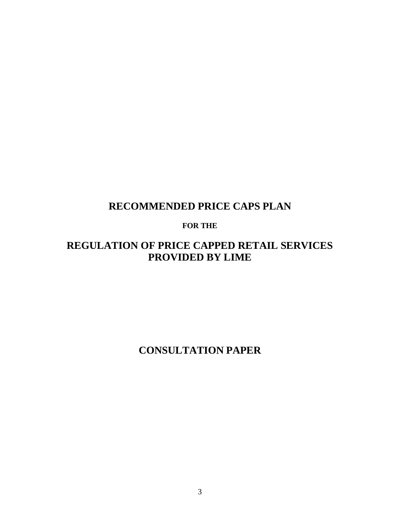# **RECOMMENDED PRICE CAPS PLAN**

# **FOR THE**

# **REGULATION OF PRICE CAPPED RETAIL SERVICES PROVIDED BY LIME**

**CONSULTATION PAPER**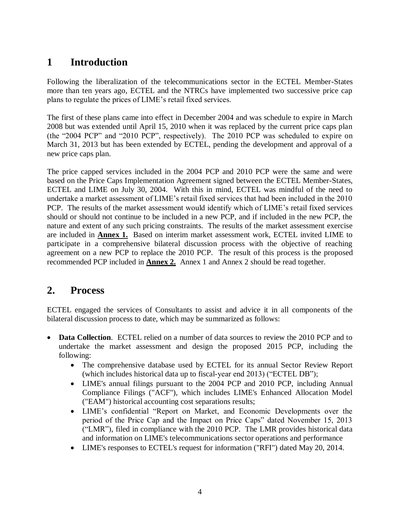# **1 Introduction**

Following the liberalization of the telecommunications sector in the ECTEL Member-States more than ten years ago, ECTEL and the NTRCs have implemented two successive price cap plans to regulate the prices of LIME's retail fixed services.

The first of these plans came into effect in December 2004 and was schedule to expire in March 2008 but was extended until April 15, 2010 when it was replaced by the current price caps plan (the "2004 PCP" and "2010 PCP", respectively). The 2010 PCP was scheduled to expire on March 31, 2013 but has been extended by ECTEL, pending the development and approval of a new price caps plan.

The price capped services included in the 2004 PCP and 2010 PCP were the same and were based on the Price Caps Implementation Agreement signed between the ECTEL Member-States, ECTEL and LIME on July 30, 2004. With this in mind, ECTEL was mindful of the need to undertake a market assessment of LIME's retail fixed services that had been included in the 2010 PCP. The results of the market assessment would identify which of LIME's retail fixed services should or should not continue to be included in a new PCP, and if included in the new PCP, the nature and extent of any such pricing constraints. The results of the market assessment exercise are included in **Annex 1.** Based on interim market assessment work, ECTEL invited LIME to participate in a comprehensive bilateral discussion process with the objective of reaching agreement on a new PCP to replace the 2010 PCP. The result of this process is the proposed recommended PCP included in **Annex 2.** Annex 1 and Annex 2 should be read together.

# **2. Process**

ECTEL engaged the services of Consultants to assist and advice it in all components of the bilateral discussion process to date, which may be summarized as follows:

- **Data Collection.** ECTEL relied on a number of data sources to review the 2010 PCP and to undertake the market assessment and design the proposed 2015 PCP, including the following:
	- The comprehensive database used by ECTEL for its annual Sector Review Report (which includes historical data up to fiscal-year end 2013) ("ECTEL DB");
	- LIME's annual filings pursuant to the 2004 PCP and 2010 PCP, including Annual Compliance Filings ("ACF"), which includes LIME's Enhanced Allocation Model ("EAM") historical accounting cost separations results;
	- LIME's confidential "Report on Market, and Economic Developments over the period of the Price Cap and the Impact on Price Caps" dated November 15, 2013 ("LMR"), filed in compliance with the 2010 PCP. The LMR provides historical data and information on LIME's telecommunications sector operations and performance
	- LIME's responses to ECTEL's request for information ("RFI") dated May 20, 2014.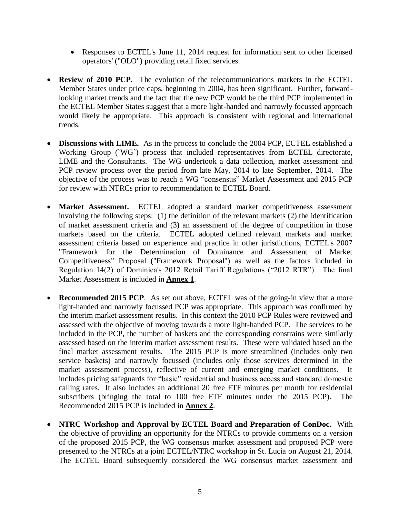- Responses to ECTEL's June 11, 2014 request for information sent to other licensed operators' ("OLO") providing retail fixed services.
- **Review of 2010 PCP.** The evolution of the telecommunications markets in the ECTEL Member States under price caps, beginning in 2004, has been significant. Further, forwardlooking market trends and the fact that the new PCP would be the third PCP implemented in the ECTEL Member States suggest that a more light-handed and narrowly focussed approach would likely be appropriate. This approach is consistent with regional and international trends.
- **Discussions with LIME.** As in the process to conclude the 2004 PCP, ECTEL established a Working Group (`WG`) process that included representatives from ECTEL directorate, LIME and the Consultants. The WG undertook a data collection, market assessment and PCP review process over the period from late May, 2014 to late September, 2014. The objective of the process was to reach a WG "consensus" Market Assessment and 2015 PCP for review with NTRCs prior to recommendation to ECTEL Board.
- Market Assessment. ECTEL adopted a standard market competitiveness assessment involving the following steps: (1) the definition of the relevant markets (2) the identification of market assessment criteria and (3) an assessment of the degree of competition in those markets based on the criteria. ECTEL adopted defined relevant markets and market assessment criteria based on experience and practice in other jurisdictions, ECTEL's 2007 "Framework for the Determination of Dominance and Assessment of Market Competitiveness" Proposal ("Framework Proposal") as well as the factors included in Regulation 14(2) of Dominica's 2012 Retail Tariff Regulations ("2012 RTR"). The final Market Assessment is included in **Annex 1**.
- **Recommended 2015 PCP**. As set out above, ECTEL was of the going-in view that a more light-handed and narrowly focussed PCP was appropriate. This approach was confirmed by the interim market assessment results. In this context the 2010 PCP Rules were reviewed and assessed with the objective of moving towards a more light-handed PCP. The services to be included in the PCP, the number of baskets and the corresponding constrains were similarly assessed based on the interim market assessment results. These were validated based on the final market assessment results. The 2015 PCP is more streamlined (includes only two service baskets) and narrowly focussed (includes only those services determined in the market assessment process), reflective of current and emerging market conditions. It includes pricing safeguards for "basic" residential and business access and standard domestic calling rates. It also includes an additional 20 free FTF minutes per month for residential subscribers (bringing the total to 100 free FTF minutes under the 2015 PCP). The Recommended 2015 PCP is included in **Annex 2**.
- **NTRC Workshop and Approval by ECTEL Board and Preparation of ConDoc.** With the objective of providing an opportunity for the NTRCs to provide comments on a version of the proposed 2015 PCP, the WG consensus market assessment and proposed PCP were presented to the NTRCs at a joint ECTEL/NTRC workshop in St. Lucia on August 21, 2014. The ECTEL Board subsequently considered the WG consensus market assessment and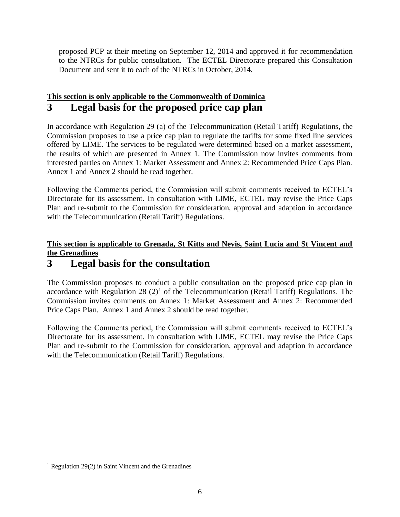proposed PCP at their meeting on September 12, 2014 and approved it for recommendation to the NTRCs for public consultation. The ECTEL Directorate prepared this Consultation Document and sent it to each of the NTRCs in October, 2014.

# **This section is only applicable to the Commonwealth of Dominica 3 Legal basis for the proposed price cap plan**

In accordance with Regulation 29 (a) of the Telecommunication (Retail Tariff) Regulations, the Commission proposes to use a price cap plan to regulate the tariffs for some fixed line services offered by LIME. The services to be regulated were determined based on a market assessment, the results of which are presented in Annex 1. The Commission now invites comments from interested parties on Annex 1: Market Assessment and Annex 2: Recommended Price Caps Plan. Annex 1 and Annex 2 should be read together.

Following the Comments period, the Commission will submit comments received to ECTEL's Directorate for its assessment. In consultation with LIME, ECTEL may revise the Price Caps Plan and re-submit to the Commission for consideration, approval and adaption in accordance with the Telecommunication (Retail Tariff) Regulations.

# **This section is applicable to Grenada, St Kitts and Nevis, Saint Lucia and St Vincent and the Grenadines**

# **3 Legal basis for the consultation**

The Commission proposes to conduct a public consultation on the proposed price cap plan in accordance with Regulation 28  $(2)^1$  of the Telecommunication (Retail Tariff) Regulations. The Commission invites comments on Annex 1: Market Assessment and Annex 2: Recommended Price Caps Plan. Annex 1 and Annex 2 should be read together.

Following the Comments period, the Commission will submit comments received to ECTEL's Directorate for its assessment. In consultation with LIME, ECTEL may revise the Price Caps Plan and re-submit to the Commission for consideration, approval and adaption in accordance with the Telecommunication (Retail Tariff) Regulations.

 $\overline{a}$ 

 $1$  Regulation 29(2) in Saint Vincent and the Grenadines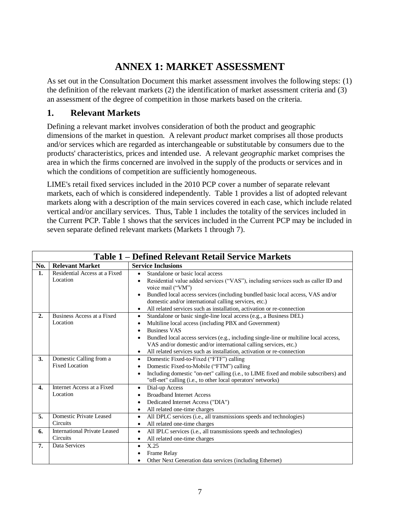# **ANNEX 1: MARKET ASSESSMENT**

As set out in the Consultation Document this market assessment involves the following steps: (1) the definition of the relevant markets (2) the identification of market assessment criteria and (3) an assessment of the degree of competition in those markets based on the criteria.

# **1. Relevant Markets**

Defining a relevant market involves consideration of both the product and geographic dimensions of the market in question. A relevant *product* market comprises all those products and/or services which are regarded as interchangeable or substitutable by consumers due to the products' characteristics, prices and intended use. A relevant *geographic* market comprises the area in which the firms concerned are involved in the supply of the products or services and in which the conditions of competition are sufficiently homogeneous.

LIME's retail fixed services included in the 2010 PCP cover a number of separate relevant markets, each of which is considered independently. Table 1 provides a list of adopted relevant markets along with a description of the main services covered in each case, which include related vertical and/or ancillary services. Thus, Table 1 includes the totality of the services included in the Current PCP. Table 1 shows that the services included in the Current PCP may be included in seven separate defined relevant markets (Markets 1 through 7).

|     | <b>Table 1 – Defined Relevant Retail Service Markets</b> |                                                                                                 |  |  |
|-----|----------------------------------------------------------|-------------------------------------------------------------------------------------------------|--|--|
| No. | <b>Relevant Market</b>                                   | <b>Service Inclusions</b>                                                                       |  |  |
| 1.  | Residential Access at a Fixed                            | Standalone or basic local access                                                                |  |  |
|     | Location                                                 | Residential value added services ("VAS"), including services such as caller ID and<br>$\bullet$ |  |  |
|     |                                                          | voice mail ("VM")                                                                               |  |  |
|     |                                                          | Bundled local access services (including bundled basic local access, VAS and/or<br>$\bullet$    |  |  |
|     |                                                          | domestic and/or international calling services, etc.)                                           |  |  |
|     |                                                          | All related services such as installation, activation or re-connection                          |  |  |
| 2.  | Business Access at a Fixed                               | Standalone or basic single-line local access (e.g., a Business DEL)<br>$\bullet$                |  |  |
|     | Location                                                 | Multiline local access (including PBX and Government)<br>٠                                      |  |  |
|     |                                                          | <b>Business VAS</b>                                                                             |  |  |
|     |                                                          | Bundled local access services (e.g., including single-line or multiline local access,           |  |  |
|     |                                                          | VAS and/or domestic and/or international calling services, etc.)                                |  |  |
|     |                                                          | All related services such as installation, activation or re-connection<br>$\bullet$             |  |  |
| 3.  | Domestic Calling from a                                  | Domestic Fixed-to-Fixed ("FTF") calling<br>$\bullet$                                            |  |  |
|     | <b>Fixed Location</b>                                    | Domestic Fixed-to-Mobile ("FTM") calling                                                        |  |  |
|     |                                                          | Including domestic "on-net" calling (i.e., to LIME fixed and mobile subscribers) and            |  |  |
|     |                                                          | "off-net" calling (i.e., to other local operators' networks)                                    |  |  |
| 4.  | Internet Access at a Fixed                               | Dial-up Access<br>$\bullet$                                                                     |  |  |
|     | Location                                                 | <b>Broadband Internet Access</b>                                                                |  |  |
|     |                                                          | Dedicated Internet Access ("DIA")                                                               |  |  |
|     |                                                          | All related one-time charges<br>$\bullet$                                                       |  |  |
| 5.  | Domestic Private Leased                                  | All DPLC services (i.e., all transmissions speeds and technologies)<br>$\bullet$                |  |  |
|     | <b>Circuits</b>                                          | All related one-time charges<br>٠                                                               |  |  |
| 6.  | <b>International Private Leased</b>                      | All IPLC services (i.e., all transmissions speeds and technologies)<br>$\bullet$                |  |  |
|     | Circuits                                                 | All related one-time charges<br>$\bullet$                                                       |  |  |
| 7.  | Data Services                                            | X.25<br>$\bullet$                                                                               |  |  |
|     |                                                          | Frame Relay                                                                                     |  |  |
|     |                                                          | Other Next Generation data services (including Ethernet)                                        |  |  |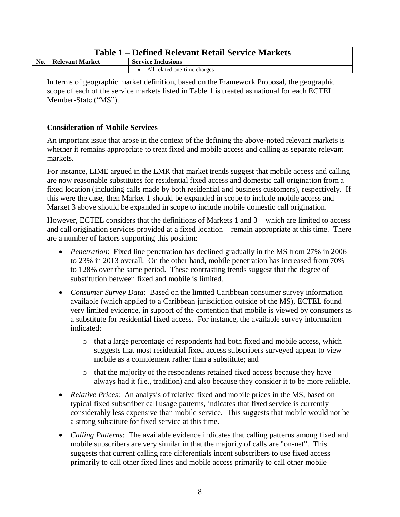|                |                        | Table 1 – Defined Relevant Retail Service Markets |
|----------------|------------------------|---------------------------------------------------|
| N <sub>0</sub> | <b>Relevant Market</b> | <b>Service Inclusions</b>                         |
|                |                        | All related one-time charges                      |

In terms of geographic market definition, based on the Framework Proposal, the geographic scope of each of the service markets listed in Table 1 is treated as national for each ECTEL Member-State ("MS").

## **Consideration of Mobile Services**

An important issue that arose in the context of the defining the above-noted relevant markets is whether it remains appropriate to treat fixed and mobile access and calling as separate relevant markets.

For instance, LIME argued in the LMR that market trends suggest that mobile access and calling are now reasonable substitutes for residential fixed access and domestic call origination from a fixed location (including calls made by both residential and business customers), respectively. If this were the case, then Market 1 should be expanded in scope to include mobile access and Market 3 above should be expanded in scope to include mobile domestic call origination.

However, ECTEL considers that the definitions of Markets 1 and 3 – which are limited to access and call origination services provided at a fixed location – remain appropriate at this time. There are a number of factors supporting this position:

- *Penetration*: Fixed line penetration has declined gradually in the MS from 27% in 2006 to 23% in 2013 overall. On the other hand, mobile penetration has increased from 70% to 128% over the same period. These contrasting trends suggest that the degree of substitution between fixed and mobile is limited.
- *Consumer Survey Data*: Based on the limited Caribbean consumer survey information available (which applied to a Caribbean jurisdiction outside of the MS), ECTEL found very limited evidence, in support of the contention that mobile is viewed by consumers as a substitute for residential fixed access. For instance, the available survey information indicated:
	- o that a large percentage of respondents had both fixed and mobile access, which suggests that most residential fixed access subscribers surveyed appear to view mobile as a complement rather than a substitute; and
	- o that the majority of the respondents retained fixed access because they have always had it (i.e., tradition) and also because they consider it to be more reliable.
- *Relative Prices*: An analysis of relative fixed and mobile prices in the MS, based on typical fixed subscriber call usage patterns, indicates that fixed service is currently considerably less expensive than mobile service. This suggests that mobile would not be a strong substitute for fixed service at this time.
- *Calling Patterns*: The available evidence indicates that calling patterns among fixed and mobile subscribers are very similar in that the majority of calls are "on-net". This suggests that current calling rate differentials incent subscribers to use fixed access primarily to call other fixed lines and mobile access primarily to call other mobile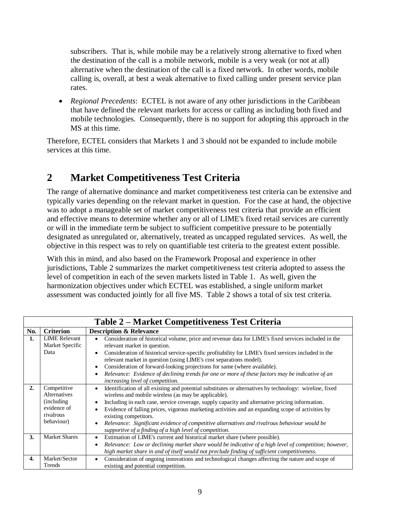subscribers. That is, while mobile may be a relatively strong alternative to fixed when the destination of the call is a mobile network, mobile is a very weak (or not at all) alternative when the destination of the call is a fixed network. In other words, mobile calling is, overall, at best a weak alternative to fixed calling under present service plan rates.

 *Regional Precedents*: ECTEL is not aware of any other jurisdictions in the Caribbean that have defined the relevant markets for access or calling as including both fixed and mobile technologies. Consequently, there is no support for adopting this approach in the MS at this time.

Therefore, ECTEL considers that Markets 1 and 3 should not be expanded to include mobile services at this time.

# **2 Market Competitiveness Test Criteria**

The range of alternative dominance and market competitiveness test criteria can be extensive and typically varies depending on the relevant market in question. For the case at hand, the objective was to adopt a manageable set of market competitiveness test criteria that provide an efficient and effective means to determine whether any or all of LIME's fixed retail services are currently or will in the immediate term be subject to sufficient competitive pressure to be potentially designated as unregulated or, alternatively, treated as uncapped regulated services. As well, the objective in this respect was to rely on quantifiable test criteria to the greatest extent possible.

With this in mind, and also based on the Framework Proposal and experience in other jurisdictions, Table 2 summarizes the market competitiveness test criteria adopted to assess the level of competition in each of the seven markets listed in Table 1. As well, given the harmonization objectives under which ECTEL was established, a single uniform market assessment was conducted jointly for all five MS. Table 2 shows a total of six test criteria.

|                  | Table 2 – Market Competitiveness Test Criteria                                       |                                                                                                                                                                                                                                                                                                                                                                                                                                                                                                                                                                                                                |  |  |  |
|------------------|--------------------------------------------------------------------------------------|----------------------------------------------------------------------------------------------------------------------------------------------------------------------------------------------------------------------------------------------------------------------------------------------------------------------------------------------------------------------------------------------------------------------------------------------------------------------------------------------------------------------------------------------------------------------------------------------------------------|--|--|--|
| No.              | <b>Criterion</b>                                                                     | <b>Description &amp; Relevance</b>                                                                                                                                                                                                                                                                                                                                                                                                                                                                                                                                                                             |  |  |  |
| 1.               | <b>LIME</b> Relevant<br>Market Specific<br>Data                                      | Consideration of historical volume, price and revenue data for LIME's fixed services included in the<br>٠<br>relevant market in question.<br>Consideration of historical service-specific profitability for LIME's fixed services included in the<br>$\bullet$<br>relevant market in question (using LIME's cost separations model).<br>Consideration of forward-looking projections for same (where available).<br>$\bullet$<br>Relevance: Evidence of declining trends for one or more of these factors may be indicative of an<br>$\bullet$<br>increasing level of competition.                             |  |  |  |
| 2.               | Competitive<br>Alternatives<br>(including)<br>evidence of<br>rivalrous<br>behaviour) | Identification of all existing and potential substitutes or alternatives by technology: wireline, fixed<br>$\bullet$<br>wireless and mobile wireless (as may be applicable).<br>Including in each case, service coverage, supply capacity and alternative pricing information.<br>$\bullet$<br>Evidence of falling prices, vigorous marketing activities and an expanding scope of activities by<br>$\bullet$<br>existing competitors.<br>Relevance: Significant evidence of competitive alternatives and rivalrous behaviour would be<br>$\bullet$<br>supportive of a finding of a high level of competition. |  |  |  |
| 3.               | <b>Market Shares</b>                                                                 | Estimation of LIME's current and historical market share (where possible).<br>$\bullet$<br>Relevance: Low or declining market share would be indicative of a high level of competition; however,<br>$\bullet$<br>high market share in and of itself would not preclude finding of sufficient competitiveness.                                                                                                                                                                                                                                                                                                  |  |  |  |
| $\overline{4}$ . | Market/Sector<br>Trends                                                              | Consideration of ongoing innovations and technological changes affecting the nature and scope of<br>$\bullet$<br>existing and potential competition.                                                                                                                                                                                                                                                                                                                                                                                                                                                           |  |  |  |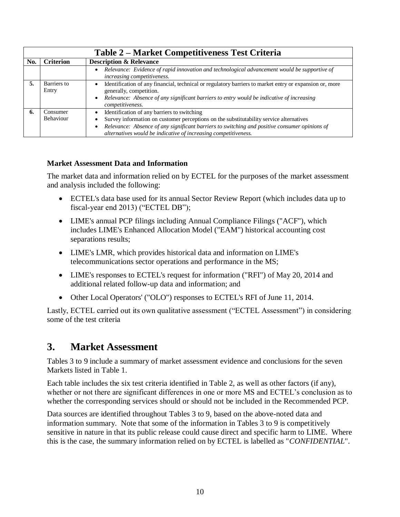|     | Table 2 – Market Competitiveness Test Criteria |                                                                                                                                                                                                                                                                                                                         |  |  |  |
|-----|------------------------------------------------|-------------------------------------------------------------------------------------------------------------------------------------------------------------------------------------------------------------------------------------------------------------------------------------------------------------------------|--|--|--|
| No. | <b>Criterion</b>                               | <b>Description &amp; Relevance</b>                                                                                                                                                                                                                                                                                      |  |  |  |
|     |                                                | Relevance: Evidence of rapid innovation and technological advancement would be supportive of<br>increasing competitiveness.                                                                                                                                                                                             |  |  |  |
| 5.  | Barriers to<br>Entry                           | Identification of any financial, technical or regulatory barriers to market entry or expansion or, more<br>generally, competition.<br>Relevance: Absence of any significant barriers to entry would be indicative of increasing<br>$\bullet$<br><i>competitiveness.</i>                                                 |  |  |  |
| 6.  | Consumer<br><b>Behaviour</b>                   | Identification of any barriers to switching<br>Survey information on customer perceptions on the substitutability service alternatives<br>Relevance: Absence of any significant barriers to switching and positive consumer opinions of<br>$\bullet$<br>alternatives would be indicative of increasing competitiveness. |  |  |  |

# **Market Assessment Data and Information**

The market data and information relied on by ECTEL for the purposes of the market assessment and analysis included the following:

- ECTEL's data base used for its annual Sector Review Report (which includes data up to fiscal-year end 2013) ("ECTEL DB");
- LIME's annual PCP filings including Annual Compliance Filings ("ACF"), which includes LIME's Enhanced Allocation Model ("EAM") historical accounting cost separations results;
- LIME's LMR, which provides historical data and information on LIME's telecommunications sector operations and performance in the MS;
- LIME's responses to ECTEL's request for information ("RFI") of May 20, 2014 and additional related follow-up data and information; and
- Other Local Operators' ("OLO") responses to ECTEL's RFI of June 11, 2014.

Lastly, ECTEL carried out its own qualitative assessment ("ECTEL Assessment") in considering some of the test criteria

# **3. Market Assessment**

Tables 3 to 9 include a summary of market assessment evidence and conclusions for the seven Markets listed in Table 1.

Each table includes the six test criteria identified in Table 2, as well as other factors (if any), whether or not there are significant differences in one or more MS and ECTEL's conclusion as to whether the corresponding services should or should not be included in the Recommended PCP.

Data sources are identified throughout Tables 3 to 9, based on the above-noted data and information summary. Note that some of the information in Tables 3 to 9 is competitively sensitive in nature in that its public release could cause direct and specific harm to LIME. Where this is the case, the summary information relied on by ECTEL is labelled as "*CONFIDENTIAL*".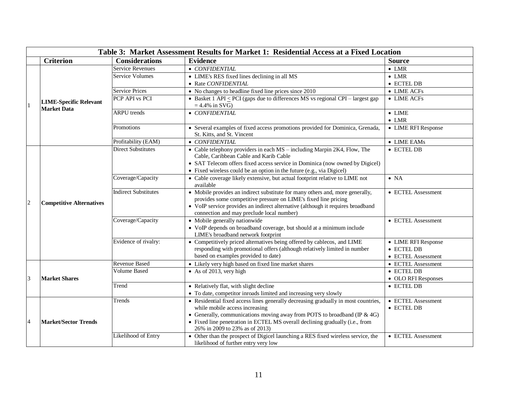|                | Table 3: Market Assessment Results for Market 1: Residential Access at a Fixed Location |                             |                                                                                                                                                                                                                                                                                                                       |                                                         |  |
|----------------|-----------------------------------------------------------------------------------------|-----------------------------|-----------------------------------------------------------------------------------------------------------------------------------------------------------------------------------------------------------------------------------------------------------------------------------------------------------------------|---------------------------------------------------------|--|
|                | <b>Criterion</b>                                                                        | <b>Considerations</b>       | <b>Evidence</b>                                                                                                                                                                                                                                                                                                       | <b>Source</b>                                           |  |
|                |                                                                                         | <b>Service Revenues</b>     | • CONFIDENTIAL                                                                                                                                                                                                                                                                                                        | $\bullet$ LMR                                           |  |
|                |                                                                                         | <b>Service Volumes</b>      | • LIME's RES fixed lines declining in all MS                                                                                                                                                                                                                                                                          | $\bullet$ LMR                                           |  |
|                |                                                                                         |                             | • Rate CONFIDENTIAL                                                                                                                                                                                                                                                                                                   | • ECTEL DB                                              |  |
|                |                                                                                         | <b>Service Prices</b>       | $\bullet$ No changes to headline fixed line prices since 2010                                                                                                                                                                                                                                                         | $\bullet$ LIME ACFs                                     |  |
| $\mathbf{1}$   | <b>LIME-Specific Relevant</b><br><b>Market Data</b>                                     | PCP API vs PCI              | • Basket 1 API $\leq$ PCI (gaps due to differences MS vs regional CPI – largest gap<br>$= 4.4\%$ in SVG)                                                                                                                                                                                                              | • LIME ACFs                                             |  |
|                |                                                                                         | <b>ARPU</b> trends          | • CONFIDENTIAL                                                                                                                                                                                                                                                                                                        | $\bullet$ LIME                                          |  |
|                |                                                                                         |                             |                                                                                                                                                                                                                                                                                                                       | $\bullet$ LMR                                           |  |
|                |                                                                                         | Promotions                  | • Several examples of fixed access promotions provided for Dominica, Grenada,<br>St. Kitts, and St. Vincent                                                                                                                                                                                                           | • LIME RFI Response                                     |  |
|                |                                                                                         | Profitability (EAM)         | • CONFIDENTIAL                                                                                                                                                                                                                                                                                                        | $\bullet$ LIME EAMs                                     |  |
| $\overline{2}$ |                                                                                         | <b>Direct Substitutes</b>   | • Cable telephony providers in each MS - including Marpin 2K4, Flow, The<br>Cable, Caribbean Cable and Karib Cable<br>• SAT Telecom offers fixed access service in Dominica (now owned by Digicel)<br>• Fixed wireless could be an option in the future (e.g., via Digicel)                                           | $\bullet$ ECTEL DB                                      |  |
|                | <b>Competitive Alternatives</b>                                                         | Coverage/Capacity           | • Cable coverage likely extensive, but actual footprint relative to LIME not<br>available                                                                                                                                                                                                                             | $\bullet$ NA                                            |  |
|                |                                                                                         | <b>Indirect Substitutes</b> | • Mobile provides an indirect substitute for many others and, more generally,<br>provides some competitive pressure on LIME's fixed line pricing<br>• VoIP service provides an indirect alternative (although it requires broadband<br>connection and may preclude local number)                                      | • ECTEL Assessment                                      |  |
|                |                                                                                         | Coverage/Capacity           | • Mobile generally nationwide<br>• VoIP depends on broadband coverage, but should at a minimum include<br>LIME's broadband network footprint                                                                                                                                                                          | • ECTEL Assessment                                      |  |
|                |                                                                                         | Evidence of rivalry:        | • Competitively priced alternatives being offered by cablecos, and LIME<br>responding with promotional offers (although relatively limited in number<br>based on examples provided to date)                                                                                                                           | • LIME RFI Response<br>• ECTEL DB<br>• ECTEL Assessment |  |
|                |                                                                                         | Revenue Based               | • Likely very high based on fixed line market shares                                                                                                                                                                                                                                                                  | • ECTEL Assessment                                      |  |
| $\overline{3}$ | <b>Market Shares</b>                                                                    | <b>Volume Based</b>         | • As of 2013, very high                                                                                                                                                                                                                                                                                               | $\bullet$ ECTEL DB<br>• OLO RFI Responses               |  |
|                |                                                                                         | Trend                       | • Relatively flat, with slight decline<br>• To date, competitor inroads limited and increasing very slowly                                                                                                                                                                                                            | • ECTEL DB                                              |  |
| $\overline{4}$ | <b>Market/Sector Trends</b>                                                             | Trends                      | • Residential fixed access lines generally decreasing gradually in most countries,<br>while mobile access increasing<br>• Generally, communications moving away from POTS to broadband (IP $\&$ 4G)<br>• Fixed line penetration in ECTEL MS overall declining gradually (i.e., from<br>26% in 2009 to 23% as of 2013) | • ECTEL Assessment<br>• ECTEL DB                        |  |
|                |                                                                                         | Likelihood of Entry         | • Other than the prospect of Digicel launching a RES fixed wireless service, the<br>likelihood of further entry very low                                                                                                                                                                                              | • ECTEL Assessment                                      |  |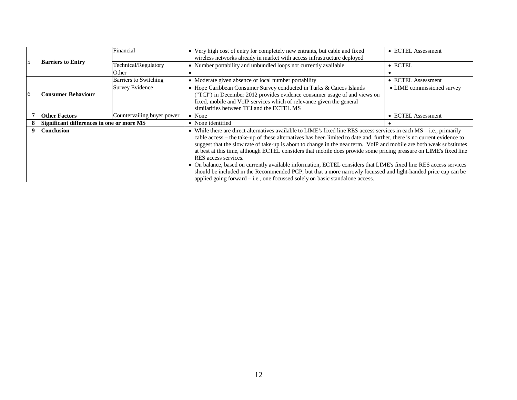|                |                                           | Financial                  | • Very high cost of entry for completely new entrants, but cable and fixed<br>wireless networks already in market with access infrastructure deployed                                                                                                                                                                                                                                                                                                                                                                                                                                                                                                                                                                                                                                                                                               | • ECTEL Assessment         |
|----------------|-------------------------------------------|----------------------------|-----------------------------------------------------------------------------------------------------------------------------------------------------------------------------------------------------------------------------------------------------------------------------------------------------------------------------------------------------------------------------------------------------------------------------------------------------------------------------------------------------------------------------------------------------------------------------------------------------------------------------------------------------------------------------------------------------------------------------------------------------------------------------------------------------------------------------------------------------|----------------------------|
| $\overline{5}$ | <b>Barriers to Entry</b>                  | Technical/Regulatory       | • Number portability and unbundled loops not currently available                                                                                                                                                                                                                                                                                                                                                                                                                                                                                                                                                                                                                                                                                                                                                                                    | $\bullet$ ECTEL            |
|                |                                           | Other                      |                                                                                                                                                                                                                                                                                                                                                                                                                                                                                                                                                                                                                                                                                                                                                                                                                                                     |                            |
|                |                                           | Barriers to Switching      | • Moderate given absence of local number portability                                                                                                                                                                                                                                                                                                                                                                                                                                                                                                                                                                                                                                                                                                                                                                                                | • ECTEL Assessment         |
| 6              | Consumer Behaviour                        | <b>Survey Evidence</b>     | • Hope Caribbean Consumer Survey conducted in Turks & Caicos Islands<br>("TCI") in December 2012 provides evidence consumer usage of and views on<br>fixed, mobile and VoIP services which of relevance given the general<br>similarities between TCI and the ECTEL MS                                                                                                                                                                                                                                                                                                                                                                                                                                                                                                                                                                              | • LIME commissioned survey |
|                | <b>Other Factors</b>                      | Countervailing buyer power | $\bullet$ None                                                                                                                                                                                                                                                                                                                                                                                                                                                                                                                                                                                                                                                                                                                                                                                                                                      | • ECTEL Assessment         |
|                | Significant differences in one or more MS |                            | • None identified                                                                                                                                                                                                                                                                                                                                                                                                                                                                                                                                                                                                                                                                                                                                                                                                                                   |                            |
| 9              | <b>Conclusion</b>                         |                            | • While there are direct alternatives available to LIME's fixed line RES access services in each $MS - i.e.,$ primarily<br>cable access – the take-up of these alternatives has been limited to date and, further, there is no current evidence to<br>suggest that the slow rate of take-up is about to change in the near term. VoIP and mobile are both weak substitutes<br>at best at this time, although ECTEL considers that mobile does provide some pricing pressure on LIME's fixed line<br>RES access services.<br>• On balance, based on currently available information, ECTEL considers that LIME's fixed line RES access services<br>should be included in the Recommended PCP, but that a more narrowly focussed and light-handed price cap can be<br>applied going forward $-$ i.e., one focussed solely on basic standalone access. |                            |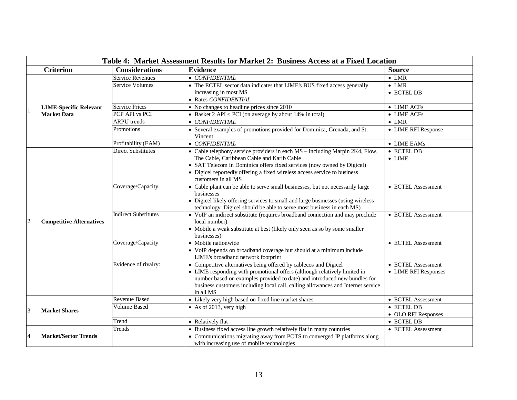|                | Table 4: Market Assessment Results for Market 2: Business Access at a Fixed Location |                             |                                                                                                                                                           |                      |  |
|----------------|--------------------------------------------------------------------------------------|-----------------------------|-----------------------------------------------------------------------------------------------------------------------------------------------------------|----------------------|--|
|                | <b>Criterion</b>                                                                     | <b>Considerations</b>       | <b>Evidence</b>                                                                                                                                           | <b>Source</b>        |  |
|                |                                                                                      | <b>Service Revenues</b>     | • CONFIDENTIAL                                                                                                                                            | $\bullet$ LMR        |  |
|                |                                                                                      | <b>Service Volumes</b>      | • The ECTEL sector data indicates that LIME's BUS fixed access generally                                                                                  | $\bullet$ LMR        |  |
|                |                                                                                      |                             | increasing in most MS                                                                                                                                     | • ECTEL DB           |  |
|                |                                                                                      |                             | · Rates CONFIDENTIAL                                                                                                                                      |                      |  |
|                | <b>LIME-Specific Relevant</b>                                                        | <b>Service Prices</b>       | • No changes to headline prices since 2010                                                                                                                | • LIME ACFs          |  |
|                | <b>Market Data</b>                                                                   | PCP API vs PCI              | • Basket $2$ API < PCI (on average by about 14% in total)                                                                                                 | $\bullet$ LIME ACFs  |  |
|                |                                                                                      | <b>ARPU</b> trends          | • CONFIDENTIAL                                                                                                                                            | $\bullet$ LMR        |  |
|                |                                                                                      | Promotions                  | • Several examples of promotions provided for Dominica, Grenada, and St.<br>Vincent                                                                       | • LIME RFI Response  |  |
|                |                                                                                      | Profitability (EAM)         | • CONFIDENTIAL                                                                                                                                            | • LIME EAMs          |  |
|                |                                                                                      | <b>Direct Substitutes</b>   | • Cable telephony service providers in each MS - including Marpin 2K4, Flow,                                                                              | • ECTEL DB           |  |
|                |                                                                                      |                             | The Cable, Caribbean Cable and Karib Cable                                                                                                                | $\bullet$ LIME       |  |
|                |                                                                                      |                             | • SAT Telecom in Dominica offers fixed services (now owned by Digicel)                                                                                    |                      |  |
|                |                                                                                      |                             | • Digicel reportedly offering a fixed wireless access service to business                                                                                 |                      |  |
|                |                                                                                      |                             | customers in all MS                                                                                                                                       |                      |  |
|                |                                                                                      | Coverage/Capacity           | • Cable plant can be able to serve small businesses, but not necessarily large                                                                            | • ECTEL Assessment   |  |
|                | <b>Competitive Alternatives</b>                                                      |                             | businesses                                                                                                                                                |                      |  |
|                |                                                                                      |                             | • Digicel likely offering services to small and large businesses (using wireless<br>technology, Digicel should be able to serve most business in each MS) |                      |  |
|                |                                                                                      | <b>Indirect Substitutes</b> | • VoIP an indirect substitute (requires broadband connection and may preclude                                                                             | • ECTEL Assessment   |  |
| $\overline{2}$ |                                                                                      |                             | local number)                                                                                                                                             |                      |  |
|                |                                                                                      |                             | • Mobile a weak substitute at best (likely only seen as so by some smaller                                                                                |                      |  |
|                |                                                                                      |                             | businesses)                                                                                                                                               |                      |  |
|                |                                                                                      | Coverage/Capacity           | • Mobile nationwide                                                                                                                                       | • ECTEL Assessment   |  |
|                |                                                                                      |                             | • VoIP depends on broadband coverage but should at a minimum include                                                                                      |                      |  |
|                |                                                                                      |                             | LIME's broadband network footprint                                                                                                                        |                      |  |
|                |                                                                                      | Evidence of rivalry:        | • Competitive alternatives being offered by cablecos and Digicel                                                                                          | • ECTEL Assessment   |  |
|                |                                                                                      |                             | • LIME responding with promotional offers (although relatively limited in                                                                                 | • LIME RFI Responses |  |
|                |                                                                                      |                             | number based on examples provided to date) and introduced new bundles for                                                                                 |                      |  |
|                |                                                                                      |                             | business customers including local call, calling allowances and Internet service<br>in all MS                                                             |                      |  |
|                |                                                                                      | <b>Revenue Based</b>        | • Likely very high based on fixed line market shares                                                                                                      | • ECTEL Assessment   |  |
|                |                                                                                      | <b>Volume Based</b>         | • As of 2013, very high                                                                                                                                   | • ECTEL DB           |  |
| $\overline{3}$ | <b>Market Shares</b>                                                                 |                             |                                                                                                                                                           | • OLO RFI Responses  |  |
|                |                                                                                      | Trend                       | • Relatively flat                                                                                                                                         | • ECTEL DB           |  |
|                |                                                                                      | Trends                      | • Business fixed access line growth relatively flat in many countries                                                                                     | • ECTEL Assessment   |  |
| $\overline{4}$ | <b>Market/Sector Trends</b>                                                          |                             | • Communications migrating away from POTS to converged IP platforms along                                                                                 |                      |  |
|                |                                                                                      |                             | with increasing use of mobile technologies                                                                                                                |                      |  |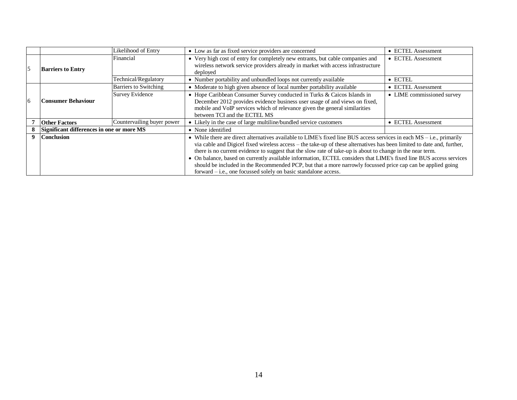|                |                                           | Likelihood of Entry        | • Low as far as fixed service providers are concerned                                                                                                                                                                                                                                                                                                                                                                                                                                                                                                                                                                                                                   | • ECTEL Assessment         |
|----------------|-------------------------------------------|----------------------------|-------------------------------------------------------------------------------------------------------------------------------------------------------------------------------------------------------------------------------------------------------------------------------------------------------------------------------------------------------------------------------------------------------------------------------------------------------------------------------------------------------------------------------------------------------------------------------------------------------------------------------------------------------------------------|----------------------------|
| $\overline{5}$ | <b>Barriers to Entry</b>                  | Financial                  | • Very high cost of entry for completely new entrants, but cable companies and<br>wireless network service providers already in market with access infrastructure<br>deployed                                                                                                                                                                                                                                                                                                                                                                                                                                                                                           | • ECTEL Assessment         |
|                |                                           | Technical/Regulatory       | • Number portability and unbundled loops not currently available                                                                                                                                                                                                                                                                                                                                                                                                                                                                                                                                                                                                        | $\bullet$ ECTEL            |
|                |                                           | Barriers to Switching      | • Moderate to high given absence of local number portability available                                                                                                                                                                                                                                                                                                                                                                                                                                                                                                                                                                                                  | • ECTEL Assessment         |
| 6              | <b>Consumer Behaviour</b>                 | <b>Survey Evidence</b>     | • Hope Caribbean Consumer Survey conducted in Turks & Caicos Islands in<br>December 2012 provides evidence business user usage of and views on fixed,<br>mobile and VoIP services which of relevance given the general similarities<br>between TCI and the ECTEL MS                                                                                                                                                                                                                                                                                                                                                                                                     | • LIME commissioned survey |
|                | <b>Other Factors</b>                      | Countervailing buyer power | • Likely in the case of large multiline/bundled service customers                                                                                                                                                                                                                                                                                                                                                                                                                                                                                                                                                                                                       | • ECTEL Assessment         |
|                | Significant differences in one or more MS |                            | • None identified                                                                                                                                                                                                                                                                                                                                                                                                                                                                                                                                                                                                                                                       |                            |
| 9              | <b>Conclusion</b>                         |                            | • While there are direct alternatives available to LIME's fixed line BUS access services in each $MS - i.e.,$ primarily<br>via cable and Digicel fixed wireless access – the take-up of these alternatives has been limited to date and, further,<br>there is no current evidence to suggest that the slow rate of take-up is about to change in the near term.<br>• On balance, based on currently available information, ECTEL considers that LIME's fixed line BUS access services<br>should be included in the Recommended PCP, but that a more narrowly focussed price cap can be applied going<br>forward - i.e., one focussed solely on basic standalone access. |                            |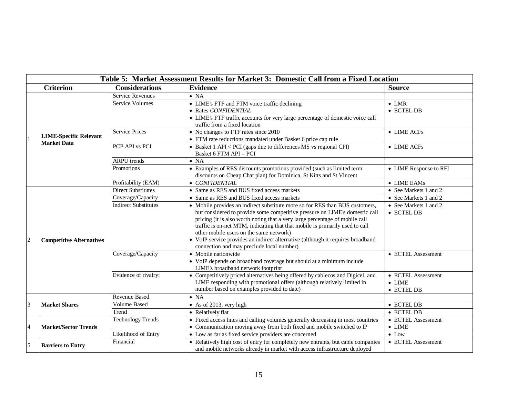|                | Table 5: Market Assessment Results for Market 3: Domestic Call from a Fixed Location |                             |                                                                                                                                                                                                                                                                                                                                                                                                                                                                                                        |                                                    |  |
|----------------|--------------------------------------------------------------------------------------|-----------------------------|--------------------------------------------------------------------------------------------------------------------------------------------------------------------------------------------------------------------------------------------------------------------------------------------------------------------------------------------------------------------------------------------------------------------------------------------------------------------------------------------------------|----------------------------------------------------|--|
|                | <b>Criterion</b>                                                                     | <b>Considerations</b>       | <b>Evidence</b>                                                                                                                                                                                                                                                                                                                                                                                                                                                                                        | <b>Source</b>                                      |  |
|                |                                                                                      | <b>Service Revenues</b>     | $\bullet$ NA                                                                                                                                                                                                                                                                                                                                                                                                                                                                                           |                                                    |  |
|                |                                                                                      | <b>Service Volumes</b>      | • LIME's FTF and FTM voice traffic declining<br>• Rates CONFIDENTIAL<br>• LIME's FTF traffic accounts for very large percentage of domestic voice call<br>traffic from a fixed location                                                                                                                                                                                                                                                                                                                | $\bullet$ LMR<br>• ECTEL DB                        |  |
|                | <b>LIME-Specific Relevant</b><br><b>Market Data</b>                                  | <b>Service Prices</b>       | • No changes to FTF rates since 2010<br>• FTM rate reductions mandated under Basket 6 price cap rule                                                                                                                                                                                                                                                                                                                                                                                                   | • LIME ACFs                                        |  |
|                |                                                                                      | PCP API vs PCI              | • Basket $1$ API < PCI (gaps due to differences MS vs regional CPI)<br>Basket 6 FTM API = PCI                                                                                                                                                                                                                                                                                                                                                                                                          | • LIME ACFs                                        |  |
|                |                                                                                      | <b>ARPU</b> trends          | $\bullet$ NA                                                                                                                                                                                                                                                                                                                                                                                                                                                                                           |                                                    |  |
|                |                                                                                      | Promotions                  | • Examples of RES discounts promotions provided (such as limited term<br>discounts on Cheap Chat plan) for Dominica, St Kitts and St Vincent                                                                                                                                                                                                                                                                                                                                                           | • LIME Response to RFI                             |  |
|                |                                                                                      | Profitability (EAM)         | • CONFIDENTIAL                                                                                                                                                                                                                                                                                                                                                                                                                                                                                         | • LIME EAMs                                        |  |
|                |                                                                                      | Direct Substitutes          | • Same as RES and BUS fixed access markets                                                                                                                                                                                                                                                                                                                                                                                                                                                             | • See Markets 1 and 2                              |  |
|                |                                                                                      | Coverage/Capacity           | • Same as RES and BUS fixed access markets                                                                                                                                                                                                                                                                                                                                                                                                                                                             | • See Markets 1 and 2                              |  |
| $\overline{2}$ | <b>Competitive Alternatives</b>                                                      | <b>Indirect Substitutes</b> | • Mobile provides an indirect substitute more so for RES than BUS customers,<br>but considered to provide some competitive pressure on LIME's domestic call<br>pricing (it is also worth noting that a very large percentage of mobile call<br>traffic is on-net MTM, indicating that that mobile is primarily used to call<br>other mobile users on the same network)<br>• VoIP service provides an indirect alternative (although it requires broadband<br>connection and may preclude local number) | • See Markets 1 and 2<br>• ECTEL DB                |  |
|                |                                                                                      | Coverage/Capacity           | • Mobile nationwide<br>• VoIP depends on broadband coverage but should at a minimum include<br>LIME's broadband network footprint                                                                                                                                                                                                                                                                                                                                                                      | • ECTEL Assessment                                 |  |
|                |                                                                                      | Evidence of rivalry:        | • Competitively priced alternatives being offered by cablecos and Digicel, and<br>LIME responding with promotional offers (although relatively limited in<br>number based on examples provided to date)                                                                                                                                                                                                                                                                                                | • ECTEL Assessment<br>$\bullet$ LIME<br>• ECTEL DB |  |
|                |                                                                                      | <b>Revenue Based</b>        | $\bullet$ NA                                                                                                                                                                                                                                                                                                                                                                                                                                                                                           |                                                    |  |
| $\overline{3}$ | <b>Market Shares</b>                                                                 | <b>Volume Based</b>         | $\bullet$ As of 2013, very high                                                                                                                                                                                                                                                                                                                                                                                                                                                                        | • ECTEL DB                                         |  |
|                |                                                                                      | Trend                       | • Relatively flat                                                                                                                                                                                                                                                                                                                                                                                                                                                                                      | • ECTEL DB                                         |  |
| $\overline{4}$ | <b>Market/Sector Trends</b>                                                          | <b>Technology Trends</b>    | • Fixed access lines and calling volumes generally decreasing in most countries<br>• Communication moving away from both fixed and mobile switched to IP                                                                                                                                                                                                                                                                                                                                               | • ECTEL Assessment<br>$\bullet$ LIME               |  |
|                |                                                                                      | Likelihood of Entry         | • Low as far as fixed service providers are concerned                                                                                                                                                                                                                                                                                                                                                                                                                                                  | $\bullet$ Low                                      |  |
| 5              | <b>Barriers to Entry</b>                                                             | Financial                   | • Relatively high cost of entry for completely new entrants, but cable companies<br>and mobile networks already in market with access infrastructure deployed                                                                                                                                                                                                                                                                                                                                          | • ECTEL Assessment                                 |  |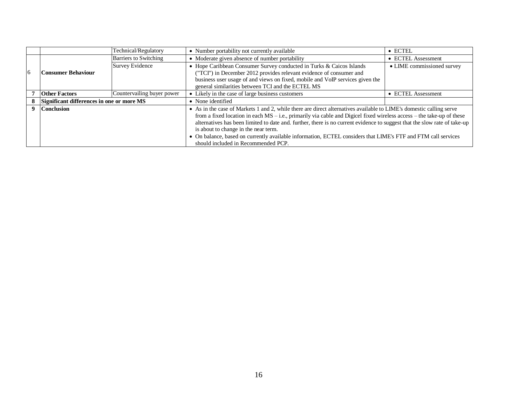|                |                                           | Technical/Regulatory       | • Number portability not currently available                                                                                                                                                                                                                                                                                                                                                                                                                                                                                                                                | $\bullet$ ECTEL            |
|----------------|-------------------------------------------|----------------------------|-----------------------------------------------------------------------------------------------------------------------------------------------------------------------------------------------------------------------------------------------------------------------------------------------------------------------------------------------------------------------------------------------------------------------------------------------------------------------------------------------------------------------------------------------------------------------------|----------------------------|
|                |                                           | Barriers to Switching      | • Moderate given absence of number portability                                                                                                                                                                                                                                                                                                                                                                                                                                                                                                                              | • ECTEL Assessment         |
| $\overline{6}$ | Consumer Behaviour                        | <b>Survey Evidence</b>     | • Hope Caribbean Consumer Survey conducted in Turks & Caicos Islands<br>("TCI") in December 2012 provides relevant evidence of consumer and<br>business user usage of and views on fixed, mobile and VoIP services given the<br>general similarities between TCI and the ECTEL MS                                                                                                                                                                                                                                                                                           | • LIME commissioned survey |
|                | <b>Other Factors</b>                      | Countervailing buyer power | • Likely in the case of large business customers                                                                                                                                                                                                                                                                                                                                                                                                                                                                                                                            | • ECTEL Assessment         |
|                | Significant differences in one or more MS |                            | • None identified                                                                                                                                                                                                                                                                                                                                                                                                                                                                                                                                                           |                            |
|                | <b>Conclusion</b>                         |                            | • As in the case of Markets 1 and 2, while there are direct alternatives available to LIME's domestic calling serve<br>from a fixed location in each $MS - i.e.,$ primarily via cable and Digicel fixed wireless access – the take-up of these<br>alternatives has been limited to date and. further, there is no current evidence to suggest that the slow rate of take-up<br>is about to change in the near term.<br>• On balance, based on currently available information, ECTEL considers that LIME's FTF and FTM call services<br>should included in Recommended PCP. |                            |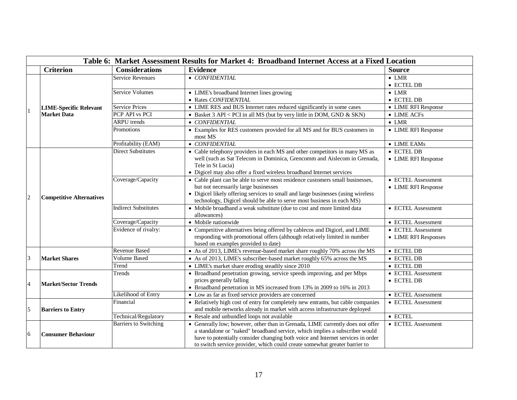| <b>Considerations</b><br><b>Evidence</b><br><b>Criterion</b><br><b>Source</b><br><b>Service Revenues</b><br>• CONFIDENTIAL<br>$\bullet$ LMR<br>$\bullet$ ECTEL DB<br><b>Service Volumes</b><br>• LIME's broadband Internet lines growing<br>$\bullet$ LMR<br>• Rates CONFIDENTIAL<br>• ECTEL DB<br><b>Service Prices</b><br>• LIME RES and BUS Internet rates reduced significantly in some cases<br>• LIME RFI Response<br><b>LIME-Specific Relevant</b><br><b>Market Data</b><br>PCP API vs PCI<br>• Basket 3 API < PCI in all MS (but by very little in DOM, GND & SKN)<br>• LIME ACFs<br><b>ARPU</b> trends<br>• CONFIDENTIAL<br>$\bullet$ LMR<br>• Examples for RES customers provided for all MS and for BUS customers in<br>Promotions<br>• LIME RFI Response<br>most MS<br>Profitability (EAM)<br>• CONFIDENTIAL<br>• LIME EAMs<br>• ECTEL DB<br><b>Direct Substitutes</b><br>• Cable telephony providers in each MS and other competitors in many MS as<br>well (such as Sat Telecom in Dominica, Grencomm and Aislecom in Grenada,<br>• LIME RFI Response<br>Tele in St Lucia)<br>• Digicel may also offer a fixed wireless broadband Internet services<br>Coverage/Capacity<br>• Cable plant can be able to serve most residence customers small businesses,<br>• ECTEL Assessment<br>but not necessarily large businesses<br>• LIME RFI Response<br>• Digicel likely offering services to small and large businesses (using wireless<br>$\overline{c}$<br><b>Competitive Alternatives</b><br>technology, Digicel should be able to serve most business in each MS) | Table 6: Market Assessment Results for Market 4: Broadband Internet Access at a Fixed Location |  |  |  |  |
|--------------------------------------------------------------------------------------------------------------------------------------------------------------------------------------------------------------------------------------------------------------------------------------------------------------------------------------------------------------------------------------------------------------------------------------------------------------------------------------------------------------------------------------------------------------------------------------------------------------------------------------------------------------------------------------------------------------------------------------------------------------------------------------------------------------------------------------------------------------------------------------------------------------------------------------------------------------------------------------------------------------------------------------------------------------------------------------------------------------------------------------------------------------------------------------------------------------------------------------------------------------------------------------------------------------------------------------------------------------------------------------------------------------------------------------------------------------------------------------------------------------------------------------------------------------------------------|------------------------------------------------------------------------------------------------|--|--|--|--|
|                                                                                                                                                                                                                                                                                                                                                                                                                                                                                                                                                                                                                                                                                                                                                                                                                                                                                                                                                                                                                                                                                                                                                                                                                                                                                                                                                                                                                                                                                                                                                                                |                                                                                                |  |  |  |  |
|                                                                                                                                                                                                                                                                                                                                                                                                                                                                                                                                                                                                                                                                                                                                                                                                                                                                                                                                                                                                                                                                                                                                                                                                                                                                                                                                                                                                                                                                                                                                                                                |                                                                                                |  |  |  |  |
|                                                                                                                                                                                                                                                                                                                                                                                                                                                                                                                                                                                                                                                                                                                                                                                                                                                                                                                                                                                                                                                                                                                                                                                                                                                                                                                                                                                                                                                                                                                                                                                |                                                                                                |  |  |  |  |
|                                                                                                                                                                                                                                                                                                                                                                                                                                                                                                                                                                                                                                                                                                                                                                                                                                                                                                                                                                                                                                                                                                                                                                                                                                                                                                                                                                                                                                                                                                                                                                                |                                                                                                |  |  |  |  |
|                                                                                                                                                                                                                                                                                                                                                                                                                                                                                                                                                                                                                                                                                                                                                                                                                                                                                                                                                                                                                                                                                                                                                                                                                                                                                                                                                                                                                                                                                                                                                                                |                                                                                                |  |  |  |  |
|                                                                                                                                                                                                                                                                                                                                                                                                                                                                                                                                                                                                                                                                                                                                                                                                                                                                                                                                                                                                                                                                                                                                                                                                                                                                                                                                                                                                                                                                                                                                                                                |                                                                                                |  |  |  |  |
|                                                                                                                                                                                                                                                                                                                                                                                                                                                                                                                                                                                                                                                                                                                                                                                                                                                                                                                                                                                                                                                                                                                                                                                                                                                                                                                                                                                                                                                                                                                                                                                |                                                                                                |  |  |  |  |
|                                                                                                                                                                                                                                                                                                                                                                                                                                                                                                                                                                                                                                                                                                                                                                                                                                                                                                                                                                                                                                                                                                                                                                                                                                                                                                                                                                                                                                                                                                                                                                                |                                                                                                |  |  |  |  |
|                                                                                                                                                                                                                                                                                                                                                                                                                                                                                                                                                                                                                                                                                                                                                                                                                                                                                                                                                                                                                                                                                                                                                                                                                                                                                                                                                                                                                                                                                                                                                                                |                                                                                                |  |  |  |  |
|                                                                                                                                                                                                                                                                                                                                                                                                                                                                                                                                                                                                                                                                                                                                                                                                                                                                                                                                                                                                                                                                                                                                                                                                                                                                                                                                                                                                                                                                                                                                                                                |                                                                                                |  |  |  |  |
|                                                                                                                                                                                                                                                                                                                                                                                                                                                                                                                                                                                                                                                                                                                                                                                                                                                                                                                                                                                                                                                                                                                                                                                                                                                                                                                                                                                                                                                                                                                                                                                |                                                                                                |  |  |  |  |
|                                                                                                                                                                                                                                                                                                                                                                                                                                                                                                                                                                                                                                                                                                                                                                                                                                                                                                                                                                                                                                                                                                                                                                                                                                                                                                                                                                                                                                                                                                                                                                                |                                                                                                |  |  |  |  |
|                                                                                                                                                                                                                                                                                                                                                                                                                                                                                                                                                                                                                                                                                                                                                                                                                                                                                                                                                                                                                                                                                                                                                                                                                                                                                                                                                                                                                                                                                                                                                                                |                                                                                                |  |  |  |  |
|                                                                                                                                                                                                                                                                                                                                                                                                                                                                                                                                                                                                                                                                                                                                                                                                                                                                                                                                                                                                                                                                                                                                                                                                                                                                                                                                                                                                                                                                                                                                                                                |                                                                                                |  |  |  |  |
|                                                                                                                                                                                                                                                                                                                                                                                                                                                                                                                                                                                                                                                                                                                                                                                                                                                                                                                                                                                                                                                                                                                                                                                                                                                                                                                                                                                                                                                                                                                                                                                |                                                                                                |  |  |  |  |
|                                                                                                                                                                                                                                                                                                                                                                                                                                                                                                                                                                                                                                                                                                                                                                                                                                                                                                                                                                                                                                                                                                                                                                                                                                                                                                                                                                                                                                                                                                                                                                                |                                                                                                |  |  |  |  |
|                                                                                                                                                                                                                                                                                                                                                                                                                                                                                                                                                                                                                                                                                                                                                                                                                                                                                                                                                                                                                                                                                                                                                                                                                                                                                                                                                                                                                                                                                                                                                                                |                                                                                                |  |  |  |  |
| <b>Indirect Substitutes</b><br>• Mobile broadband a weak substitute (due to cost and more limited data<br>• ECTEL Assessment                                                                                                                                                                                                                                                                                                                                                                                                                                                                                                                                                                                                                                                                                                                                                                                                                                                                                                                                                                                                                                                                                                                                                                                                                                                                                                                                                                                                                                                   |                                                                                                |  |  |  |  |
| allowances)                                                                                                                                                                                                                                                                                                                                                                                                                                                                                                                                                                                                                                                                                                                                                                                                                                                                                                                                                                                                                                                                                                                                                                                                                                                                                                                                                                                                                                                                                                                                                                    |                                                                                                |  |  |  |  |
| Coverage/Capacity<br>• Mobile nationwide<br>• ECTEL Assessment                                                                                                                                                                                                                                                                                                                                                                                                                                                                                                                                                                                                                                                                                                                                                                                                                                                                                                                                                                                                                                                                                                                                                                                                                                                                                                                                                                                                                                                                                                                 |                                                                                                |  |  |  |  |
| • Competitive alternatives being offered by cablecos and Digicel, and LIME<br>Evidence of rivalry:<br>• ECTEL Assessment                                                                                                                                                                                                                                                                                                                                                                                                                                                                                                                                                                                                                                                                                                                                                                                                                                                                                                                                                                                                                                                                                                                                                                                                                                                                                                                                                                                                                                                       |                                                                                                |  |  |  |  |
| responding with promotional offers (although relatively limited in number<br>• LIME RFI Responses                                                                                                                                                                                                                                                                                                                                                                                                                                                                                                                                                                                                                                                                                                                                                                                                                                                                                                                                                                                                                                                                                                                                                                                                                                                                                                                                                                                                                                                                              |                                                                                                |  |  |  |  |
| based on examples provided to date)                                                                                                                                                                                                                                                                                                                                                                                                                                                                                                                                                                                                                                                                                                                                                                                                                                                                                                                                                                                                                                                                                                                                                                                                                                                                                                                                                                                                                                                                                                                                            |                                                                                                |  |  |  |  |
| <b>Revenue Based</b><br>• As of 2013, LIME's revenue-based market share roughly 70% across the MS<br>$\bullet$ ECTEL DB                                                                                                                                                                                                                                                                                                                                                                                                                                                                                                                                                                                                                                                                                                                                                                                                                                                                                                                                                                                                                                                                                                                                                                                                                                                                                                                                                                                                                                                        |                                                                                                |  |  |  |  |
| <b>Volume Based</b><br>• ECTEL DB<br>3<br><b>Market Shares</b><br>• As of 2013, LIME's subscriber-based market roughly 65% across the MS                                                                                                                                                                                                                                                                                                                                                                                                                                                                                                                                                                                                                                                                                                                                                                                                                                                                                                                                                                                                                                                                                                                                                                                                                                                                                                                                                                                                                                       |                                                                                                |  |  |  |  |
| Trend<br>• LIME's market share eroding steadily since 2010<br>$\bullet$ ECTEL DB                                                                                                                                                                                                                                                                                                                                                                                                                                                                                                                                                                                                                                                                                                                                                                                                                                                                                                                                                                                                                                                                                                                                                                                                                                                                                                                                                                                                                                                                                               |                                                                                                |  |  |  |  |
| • Broadband penetration growing, service speeds improving, and per Mbps<br>Trends<br>• ECTEL Assessment                                                                                                                                                                                                                                                                                                                                                                                                                                                                                                                                                                                                                                                                                                                                                                                                                                                                                                                                                                                                                                                                                                                                                                                                                                                                                                                                                                                                                                                                        |                                                                                                |  |  |  |  |
| prices generally falling<br>$\bullet$ ECTEL DB<br>$\overline{4}$<br><b>Market/Sector Trends</b>                                                                                                                                                                                                                                                                                                                                                                                                                                                                                                                                                                                                                                                                                                                                                                                                                                                                                                                                                                                                                                                                                                                                                                                                                                                                                                                                                                                                                                                                                |                                                                                                |  |  |  |  |
| • Broadband penetration in MS increased from 13% in 2009 to 16% in 2013                                                                                                                                                                                                                                                                                                                                                                                                                                                                                                                                                                                                                                                                                                                                                                                                                                                                                                                                                                                                                                                                                                                                                                                                                                                                                                                                                                                                                                                                                                        |                                                                                                |  |  |  |  |
| Likelihood of Entry<br>• Low as far as fixed service providers are concerned<br>• ECTEL Assessment                                                                                                                                                                                                                                                                                                                                                                                                                                                                                                                                                                                                                                                                                                                                                                                                                                                                                                                                                                                                                                                                                                                                                                                                                                                                                                                                                                                                                                                                             |                                                                                                |  |  |  |  |
| Financial<br>• Relatively high cost of entry for completely new entrants, but cable companies<br>• ECTEL Assessment                                                                                                                                                                                                                                                                                                                                                                                                                                                                                                                                                                                                                                                                                                                                                                                                                                                                                                                                                                                                                                                                                                                                                                                                                                                                                                                                                                                                                                                            |                                                                                                |  |  |  |  |
| 5<br>and mobile networks already in market with access infrastructure deployed<br><b>Barriers to Entry</b>                                                                                                                                                                                                                                                                                                                                                                                                                                                                                                                                                                                                                                                                                                                                                                                                                                                                                                                                                                                                                                                                                                                                                                                                                                                                                                                                                                                                                                                                     |                                                                                                |  |  |  |  |
| Technical/Regulatory<br>$\bullet$ ECTEL<br>• Resale and unbundled loops not available                                                                                                                                                                                                                                                                                                                                                                                                                                                                                                                                                                                                                                                                                                                                                                                                                                                                                                                                                                                                                                                                                                                                                                                                                                                                                                                                                                                                                                                                                          |                                                                                                |  |  |  |  |
| <b>Barriers to Switching</b><br>• Generally low; however, other than in Grenada, LIME currently does not offer<br>• ECTEL Assessment                                                                                                                                                                                                                                                                                                                                                                                                                                                                                                                                                                                                                                                                                                                                                                                                                                                                                                                                                                                                                                                                                                                                                                                                                                                                                                                                                                                                                                           |                                                                                                |  |  |  |  |
| a standalone or "naked" broadband service, which implies a subscriber would<br>6<br><b>Consumer Behaviour</b><br>have to potentially consider changing both voice and Internet services in order                                                                                                                                                                                                                                                                                                                                                                                                                                                                                                                                                                                                                                                                                                                                                                                                                                                                                                                                                                                                                                                                                                                                                                                                                                                                                                                                                                               |                                                                                                |  |  |  |  |
| to switch service provider, which could create somewhat greater barrier to                                                                                                                                                                                                                                                                                                                                                                                                                                                                                                                                                                                                                                                                                                                                                                                                                                                                                                                                                                                                                                                                                                                                                                                                                                                                                                                                                                                                                                                                                                     |                                                                                                |  |  |  |  |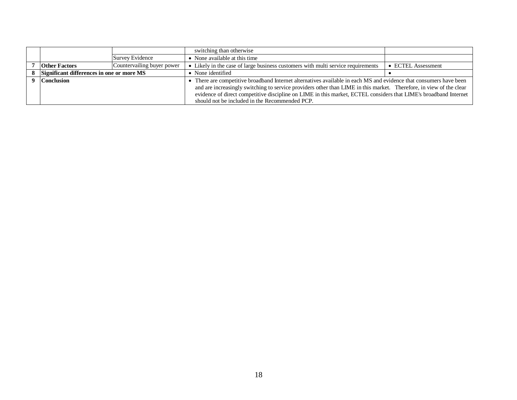|                                           |                            | switching than otherwise                                                                                            |                    |
|-------------------------------------------|----------------------------|---------------------------------------------------------------------------------------------------------------------|--------------------|
|                                           | Survey Evidence            | • None available at this time                                                                                       |                    |
| <b>Other Factors</b>                      | Countervailing buyer power | • Likely in the case of large business customers with multi service requirements                                    | • ECTEL Assessment |
| Significant differences in one or more MS |                            | • None identified                                                                                                   |                    |
| <b>Conclusion</b>                         |                            | There are competitive broadband Internet alternatives available in each MS and evidence that consumers have been    |                    |
|                                           |                            | and are increasingly switching to service providers other than LIME in this market. Therefore, in view of the clear |                    |
|                                           |                            | evidence of direct competitive discipline on LIME in this market, ECTEL considers that LIME's broadband Internet    |                    |
|                                           |                            | should not be included in the Recommended PCP.                                                                      |                    |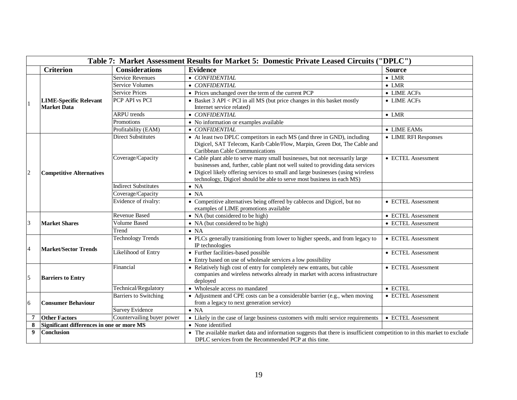| Table 7: Market Assessment Results for Market 5: Domestic Private Leased Circuits ("DPLC") |                                                     |                              |                                                                                                                                                                                                                                                                                                                              |                      |
|--------------------------------------------------------------------------------------------|-----------------------------------------------------|------------------------------|------------------------------------------------------------------------------------------------------------------------------------------------------------------------------------------------------------------------------------------------------------------------------------------------------------------------------|----------------------|
|                                                                                            | <b>Criterion</b>                                    | <b>Considerations</b>        | <b>Evidence</b>                                                                                                                                                                                                                                                                                                              | <b>Source</b>        |
|                                                                                            |                                                     | Service Revenues             | • CONFIDENTIAL                                                                                                                                                                                                                                                                                                               | $\bullet$ LMR        |
|                                                                                            | <b>LIME-Specific Relevant</b><br><b>Market Data</b> | <b>Service Volumes</b>       | • CONFIDENTIAL                                                                                                                                                                                                                                                                                                               | $\bullet$ LMR        |
|                                                                                            |                                                     | <b>Service Prices</b>        | • Prices unchanged over the term of the current PCP                                                                                                                                                                                                                                                                          | • LIME ACFs          |
|                                                                                            |                                                     | PCP API vs PCI               | • Basket 3 API < PCI in all MS (but price changes in this basket mostly<br>Internet service related)                                                                                                                                                                                                                         | $\bullet$ LIME ACFs  |
|                                                                                            |                                                     | <b>ARPU</b> trends           | $\bullet$ CONFIDENTIAL                                                                                                                                                                                                                                                                                                       | $\bullet$ LMR        |
|                                                                                            |                                                     | Promotions                   | • No information or examples available                                                                                                                                                                                                                                                                                       |                      |
|                                                                                            |                                                     | Profitability (EAM)          | • CONFIDENTIAL                                                                                                                                                                                                                                                                                                               | $\bullet$ LIME EAMs  |
| $\overline{c}$                                                                             | <b>Competitive Alternatives</b>                     | <b>Direct Substitutes</b>    | • At least two DPLC competitors in each MS (and three in GND), including<br>Digicel, SAT Telecom, Karib Cable/Flow, Marpin, Green Dot, The Cable and<br>Caribbean Cable Communications                                                                                                                                       | • LIME RFI Responses |
|                                                                                            |                                                     | Coverage/Capacity            | • Cable plant able to serve many small businesses, but not necessarily large<br>businesses and, further, cable plant not well suited to providing data services<br>• Digicel likely offering services to small and large businesses (using wireless<br>technology, Digicel should be able to serve most business in each MS) | • ECTEL Assessment   |
|                                                                                            |                                                     | <b>Indirect Substitutes</b>  | $\bullet$ NA                                                                                                                                                                                                                                                                                                                 |                      |
|                                                                                            |                                                     | Coverage/Capacity            | $\bullet$ NA                                                                                                                                                                                                                                                                                                                 |                      |
|                                                                                            |                                                     | Evidence of rivalry:         | • Competitive alternatives being offered by cablecos and Digicel, but no<br>examples of LIME promotions available                                                                                                                                                                                                            | • ECTEL Assessment   |
|                                                                                            | <b>Market Shares</b>                                | Revenue Based                | • NA (but considered to be high)                                                                                                                                                                                                                                                                                             | • ECTEL Assessment   |
| 3                                                                                          |                                                     | <b>Volume Based</b>          | • NA (but considered to be high)                                                                                                                                                                                                                                                                                             | • ECTEL Assessment   |
|                                                                                            |                                                     | Trend                        | $\bullet$ NA                                                                                                                                                                                                                                                                                                                 |                      |
| $\overline{4}$                                                                             | <b>Market/Sector Trends</b>                         | <b>Technology Trends</b>     | • PLCs generally transitioning from lower to higher speeds, and from legacy to<br>IP technologies                                                                                                                                                                                                                            | • ECTEL Assessment   |
|                                                                                            |                                                     | Likelihood of Entry          | • Further facilities-based possible<br>• Entry based on use of wholesale services a low possibility                                                                                                                                                                                                                          | • ECTEL Assessment   |
| 5                                                                                          | <b>Barriers to Entry</b>                            | Financial                    | • Relatively high cost of entry for completely new entrants, but cable<br>companies and wireless networks already in market with access infrastructure<br>deployed                                                                                                                                                           | • ECTEL Assessment   |
|                                                                                            |                                                     | Technical/Regulatory         | • Wholesale access no mandated                                                                                                                                                                                                                                                                                               | $\bullet$ ECTEL      |
| 6                                                                                          | <b>Consumer Behaviour</b>                           | <b>Barriers to Switching</b> | • Adjustment and CPE costs can be a considerable barrier (e.g., when moving<br>from a legacy to next generation service)                                                                                                                                                                                                     | • ECTEL Assessment   |
|                                                                                            |                                                     | <b>Survey Evidence</b>       | $\bullet$ NA                                                                                                                                                                                                                                                                                                                 |                      |
| 7                                                                                          | Countervailing buyer power<br><b>Other Factors</b>  |                              | • Likely in the case of large business customers with multi service requirements                                                                                                                                                                                                                                             | • ECTEL Assessment   |
| 8                                                                                          | Significant differences in one or more MS           |                              | • None identified                                                                                                                                                                                                                                                                                                            |                      |
| 9                                                                                          | <b>Conclusion</b>                                   |                              | • The available market data and information suggests that there is insufficient competition to in this market to exclude<br>DPLC services from the Recommended PCP at this time.                                                                                                                                             |                      |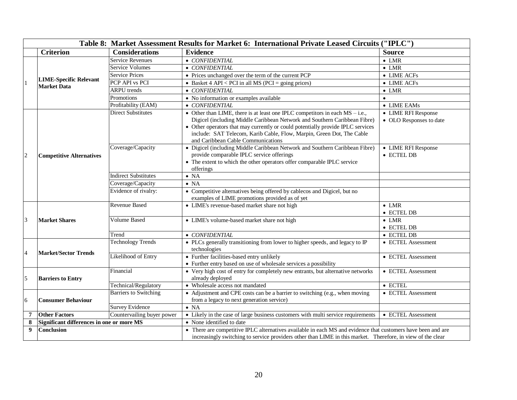|                 | Table 8: Market Assessment Results for Market 6: International Private Leased Circuits ("IPLC") |                              |                                                                                                                                                                                                                                                                                                                                                               |                                                |  |
|-----------------|-------------------------------------------------------------------------------------------------|------------------------------|---------------------------------------------------------------------------------------------------------------------------------------------------------------------------------------------------------------------------------------------------------------------------------------------------------------------------------------------------------------|------------------------------------------------|--|
|                 | <b>Criterion</b>                                                                                | <b>Considerations</b>        | <b>Evidence</b>                                                                                                                                                                                                                                                                                                                                               | <b>Source</b>                                  |  |
|                 | <b>LIME-Specific Relevant</b><br><b>Market Data</b>                                             | <b>Service Revenues</b>      | • CONFIDENTIAL                                                                                                                                                                                                                                                                                                                                                | $\bullet$ LMR                                  |  |
|                 |                                                                                                 | <b>Service Volumes</b>       | • CONFIDENTIAL                                                                                                                                                                                                                                                                                                                                                | $\bullet$ LMR                                  |  |
|                 |                                                                                                 | <b>Service Prices</b>        | • Prices unchanged over the term of the current PCP                                                                                                                                                                                                                                                                                                           | • LIME ACFs                                    |  |
|                 |                                                                                                 | PCP API vs PCI               | • Basket 4 API < PCI in all MS (PCI = going prices)                                                                                                                                                                                                                                                                                                           | $\bullet$ LIME ACFs                            |  |
|                 |                                                                                                 | <b>ARPU</b> trends           | • CONFIDENTIAL                                                                                                                                                                                                                                                                                                                                                | $\bullet$ LMR                                  |  |
|                 |                                                                                                 | Promotions                   | • No information or examples available                                                                                                                                                                                                                                                                                                                        | $\bullet$                                      |  |
|                 |                                                                                                 | Profitability (EAM)          | • CONFIDENTIAL                                                                                                                                                                                                                                                                                                                                                | $\bullet$ LIME EAMs                            |  |
| $\overline{2}$  | <b>Competitive Alternatives</b>                                                                 | <b>Direct Substitutes</b>    | • Other than LIME, there is at least one IPLC competitors in each $MS - i.e.,$<br>Digicel (including Middle Caribbean Network and Southern Caribbean Fibre)<br>• Other operators that may currently or could potentially provide IPLC services<br>include: SAT Telecom, Karib Cable, Flow, Marpin, Green Dot, The Cable<br>and Caribbean Cable Communications | • LIME RFI Response<br>• OLO Responses to date |  |
|                 |                                                                                                 | Coverage/Capacity            | • Digicel (including Middle Caribbean Network and Southern Caribbean Fibre)<br>provide comparable IPLC service offerings<br>• The extent to which the other operators offer comparable IPLC service<br>offerings                                                                                                                                              | • LIME RFI Response<br>• ECTEL DB              |  |
|                 |                                                                                                 | <b>Indirect Substitutes</b>  | $\bullet$ NA                                                                                                                                                                                                                                                                                                                                                  |                                                |  |
|                 |                                                                                                 | Coverage/Capacity            | $\bullet$ NA                                                                                                                                                                                                                                                                                                                                                  |                                                |  |
|                 |                                                                                                 | Evidence of rivalry:         | • Competitive alternatives being offered by cablecos and Digicel, but no<br>examples of LIME promotions provided as of yet                                                                                                                                                                                                                                    |                                                |  |
|                 | <b>Market Shares</b>                                                                            | <b>Revenue Based</b>         | • LIME's revenue-based market share not high                                                                                                                                                                                                                                                                                                                  | $\bullet$ LMR<br>• ECTEL DB                    |  |
| 3               |                                                                                                 | <b>Volume Based</b>          | • LIME's volume-based market share not high                                                                                                                                                                                                                                                                                                                   | $\bullet$ LMR<br>$\bullet$ ECTEL DB            |  |
|                 |                                                                                                 | Trend                        | $\bullet$ CONFIDENTIAL                                                                                                                                                                                                                                                                                                                                        | • ECTEL DB                                     |  |
|                 | <b>Market/Sector Trends</b>                                                                     | <b>Technology Trends</b>     | • PLCs generally transitioning from lower to higher speeds, and legacy to IP<br>technologies                                                                                                                                                                                                                                                                  | • ECTEL Assessment                             |  |
| 4               |                                                                                                 | Likelihood of Entry          | • Further facilities-based entry unlikely<br>• Further entry based on use of wholesale services a possibility                                                                                                                                                                                                                                                 | • ECTEL Assessment                             |  |
| 5               | <b>Barriers to Entry</b>                                                                        | Financial                    | • Very high cost of entry for completely new entrants, but alternative networks<br>already deployed                                                                                                                                                                                                                                                           | • ECTEL Assessment                             |  |
|                 |                                                                                                 | Technical/Regulatory         | • Wholesale access not mandated                                                                                                                                                                                                                                                                                                                               | $\bullet$ ECTEL                                |  |
| 6               | <b>Consumer Behaviour</b>                                                                       | <b>Barriers to Switching</b> | • Adjustment and CPE costs can be a barrier to switching (e.g., when moving<br>from a legacy to next generation service)                                                                                                                                                                                                                                      | • ECTEL Assessment                             |  |
|                 | <b>Survey Evidence</b>                                                                          |                              | $\bullet$ NA                                                                                                                                                                                                                                                                                                                                                  |                                                |  |
| $\overline{7}$  | <b>Other Factors</b>                                                                            | Countervailing buyer power   | • Likely in the case of large business customers with multi service requirements                                                                                                                                                                                                                                                                              | • ECTEL Assessment                             |  |
| 8               | Significant differences in one or more MS                                                       |                              | • None identified to date                                                                                                                                                                                                                                                                                                                                     |                                                |  |
| 9<br>Conclusion |                                                                                                 |                              | • There are competitive IPLC alternatives available in each MS and evidence that customers have been and are<br>increasingly switching to service providers other than LIME in this market. Therefore, in view of the clear                                                                                                                                   |                                                |  |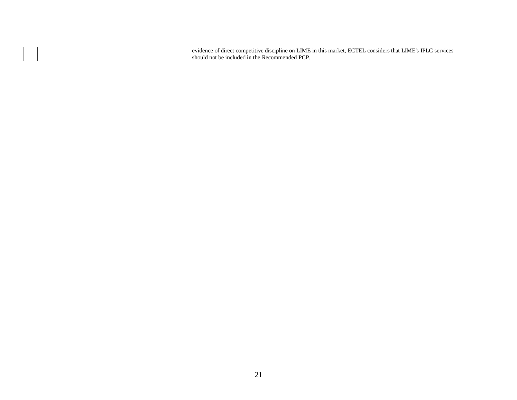|  | IPL A<br>LIME'<br><b>TCTE</b><br>LIMI<br>n this<br>CPTU1CPY<br>: on<br>$- - -$<br>that<br>ompetitiv<br><i>r</i> e discipline<br>considers<br>evidence<br>a difect<br>market.<br>vicc:<br>◡<br>$\sim$ |
|--|------------------------------------------------------------------------------------------------------------------------------------------------------------------------------------------------------|
|  | די חם ו<br>$\degree$ include<br>ied in the<br>Recommended<br>l not be<br>should<br>.                                                                                                                 |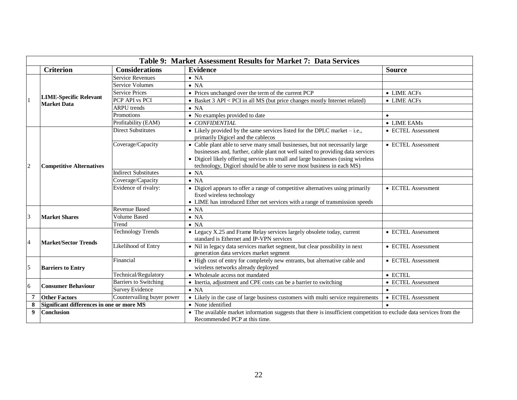|                         | Table 9: Market Assessment Results for Market 7: Data Services |                              |                                                                                                                                                                                                                                                                                                                              |                    |  |
|-------------------------|----------------------------------------------------------------|------------------------------|------------------------------------------------------------------------------------------------------------------------------------------------------------------------------------------------------------------------------------------------------------------------------------------------------------------------------|--------------------|--|
|                         | <b>Criterion</b>                                               | <b>Considerations</b>        | <b>Evidence</b>                                                                                                                                                                                                                                                                                                              | <b>Source</b>      |  |
|                         | <b>LIME-Specific Relevant</b><br>Market Data                   | <b>Service Revenues</b>      | $\bullet$ NA                                                                                                                                                                                                                                                                                                                 |                    |  |
|                         |                                                                | <b>Service Volumes</b>       | $\bullet$ NA                                                                                                                                                                                                                                                                                                                 |                    |  |
|                         |                                                                | <b>Service Prices</b>        | • Prices unchanged over the term of the current PCP                                                                                                                                                                                                                                                                          | • LIME ACFs        |  |
|                         |                                                                | PCP API vs PCI               | • Basket 3 API < PCI in all MS (but price changes mostly Internet related)                                                                                                                                                                                                                                                   | • LIME ACFs        |  |
|                         |                                                                | <b>ARPU</b> trends           | $\bullet$ NA                                                                                                                                                                                                                                                                                                                 |                    |  |
|                         |                                                                | Promotions                   | • No examples provided to date                                                                                                                                                                                                                                                                                               | $\bullet$          |  |
|                         |                                                                | Profitability ( $EAM$ )      | • CONFIDENTIAL                                                                                                                                                                                                                                                                                                               | • LIME EAMs        |  |
|                         | <b>Competitive Alternatives</b>                                | <b>Direct Substitutes</b>    | • Likely provided by the same services listed for the DPLC market $-i.e.,$<br>primarily Digicel and the cablecos                                                                                                                                                                                                             | • ECTEL Assessment |  |
| $\overline{c}$          |                                                                | Coverage/Capacity            | • Cable plant able to serve many small businesses, but not necessarily large<br>businesses and, further, cable plant not well suited to providing data services<br>• Digicel likely offering services to small and large businesses (using wireless<br>technology, Digicel should be able to serve most business in each MS) | • ECTEL Assessment |  |
|                         |                                                                | <b>Indirect Substitutes</b>  | $\bullet$ NA                                                                                                                                                                                                                                                                                                                 |                    |  |
|                         |                                                                | Coverage/Capacity            | $\bullet$ NA                                                                                                                                                                                                                                                                                                                 |                    |  |
|                         |                                                                | Evidence of rivalry:         | • Digicel appears to offer a range of competitive alternatives using primarily<br>fixed wireless technology<br>• LIME has introduced Ether net services with a range of transmission speeds                                                                                                                                  | • ECTEL Assessment |  |
|                         | <b>Market Shares</b>                                           | Revenue Based                | $\bullet$ NA                                                                                                                                                                                                                                                                                                                 |                    |  |
| $\overline{3}$          |                                                                | <b>Volume Based</b>          | $\bullet$ NA                                                                                                                                                                                                                                                                                                                 |                    |  |
|                         |                                                                | Trend                        | $\bullet$ NA                                                                                                                                                                                                                                                                                                                 |                    |  |
|                         | <b>Market/Sector Trends</b>                                    | <b>Technology Trends</b>     | • Legacy X.25 and Frame Relay services largely obsolete today, current<br>standard is Ethernet and IP-VPN services                                                                                                                                                                                                           | • ECTEL Assessment |  |
| $\overline{4}$          |                                                                | <b>Likelihood</b> of Entry   | • Nil in legacy data services market segment, but clear possibility in next<br>generation data services market segment                                                                                                                                                                                                       | • ECTEL Assessment |  |
| $\overline{\mathbf{5}}$ | <b>Barriers to Entry</b>                                       | Financial                    | • High cost of entry for completely new entrants, but alternative cable and<br>wireless networks already deployed                                                                                                                                                                                                            | • ECTEL Assessment |  |
|                         |                                                                | Technical/Regulatory         | • Wholesale access not mandated                                                                                                                                                                                                                                                                                              | $\bullet$ ECTEL    |  |
| 6                       | <b>Consumer Behaviour</b>                                      | <b>Barriers to Switching</b> | • Inertia, adjustment and CPE costs can be a barrier to switching                                                                                                                                                                                                                                                            | • ECTEL Assessment |  |
|                         |                                                                | <b>Survey Evidence</b>       | $\bullet$ NA                                                                                                                                                                                                                                                                                                                 | $\bullet$          |  |
| 7                       | Countervailing buyer power<br><b>Other Factors</b>             |                              | • Likely in the case of large business customers with multi service requirements                                                                                                                                                                                                                                             | • ECTEL Assessment |  |
| 8                       | Significant differences in one or more MS                      |                              | • None identified                                                                                                                                                                                                                                                                                                            | $\bullet$          |  |
| 9                       | <b>Conclusion</b>                                              |                              | • The available market information suggests that there is insufficient competition to exclude data services from the<br>Recommended PCP at this time.                                                                                                                                                                        |                    |  |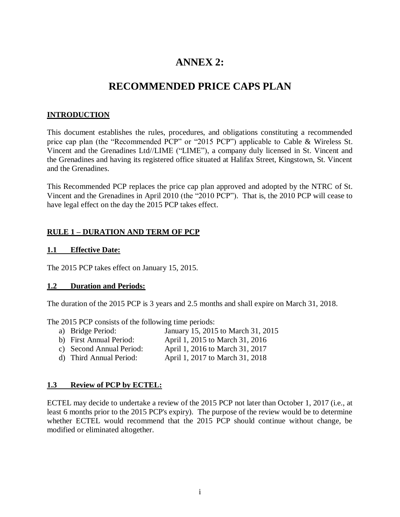# **ANNEX 2:**

# **RECOMMENDED PRICE CAPS PLAN**

# **INTRODUCTION**

This document establishes the rules, procedures, and obligations constituting a recommended price cap plan (the "Recommended PCP" or "2015 PCP") applicable to Cable & Wireless St. Vincent and the Grenadines Ltd//LIME ("LIME"), a company duly licensed in St. Vincent and the Grenadines and having its registered office situated at Halifax Street, Kingstown, St. Vincent and the Grenadines.

This Recommended PCP replaces the price cap plan approved and adopted by the NTRC of St. Vincent and the Grenadines in April 2010 (the "2010 PCP"). That is, the 2010 PCP will cease to have legal effect on the day the 2015 PCP takes effect.

## **RULE 1 – DURATION AND TERM OF PCP**

### **1.1 Effective Date:**

The 2015 PCP takes effect on January 15, 2015.

#### **1.2 Duration and Periods:**

The duration of the 2015 PCP is 3 years and 2.5 months and shall expire on March 31, 2018.

The 2015 PCP consists of the following time periods:

- a) Bridge Period: January 15, 2015 to March 31, 2015
- b) First Annual Period: April 1, 2015 to March 31, 2016
- c) Second Annual Period: April 1, 2016 to March 31, 2017
- d) Third Annual Period: April 1, 2017 to March 31, 2018

### **1.3 Review of PCP by ECTEL:**

ECTEL may decide to undertake a review of the 2015 PCP not later than October 1, 2017 (i.e., at least 6 months prior to the 2015 PCP's expiry). The purpose of the review would be to determine whether ECTEL would recommend that the 2015 PCP should continue without change, be modified or eliminated altogether.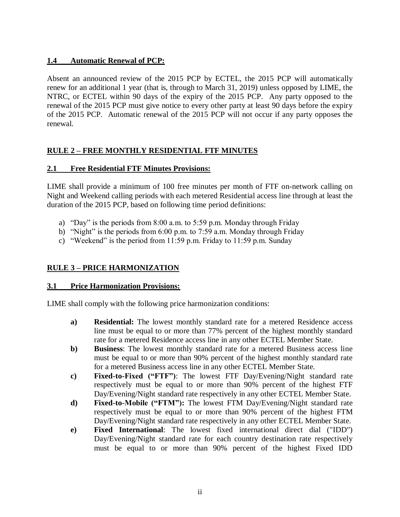# **1.4 Automatic Renewal of PCP:**

Absent an announced review of the 2015 PCP by ECTEL, the 2015 PCP will automatically renew for an additional 1 year (that is, through to March 31, 2019) unless opposed by LIME, the NTRC, or ECTEL within 90 days of the expiry of the 2015 PCP. Any party opposed to the renewal of the 2015 PCP must give notice to every other party at least 90 days before the expiry of the 2015 PCP. Automatic renewal of the 2015 PCP will not occur if any party opposes the renewal.

# **RULE 2 – FREE MONTHLY RESIDENTIAL FTF MINUTES**

# **2.1 Free Residential FTF Minutes Provisions:**

LIME shall provide a minimum of 100 free minutes per month of FTF on-network calling on Night and Weekend calling periods with each metered Residential access line through at least the duration of the 2015 PCP, based on following time period definitions:

- a) "Day" is the periods from 8:00 a.m. to 5:59 p.m. Monday through Friday
- b) "Night" is the periods from 6:00 p.m. to 7:59 a.m. Monday through Friday
- c) "Weekend" is the period from  $11:59$  p.m. Friday to  $11:59$  p.m. Sunday

# **RULE 3 – PRICE HARMONIZATION**

# **3.1 Price Harmonization Provisions:**

LIME shall comply with the following price harmonization conditions:

- **a) Residential:** The lowest monthly standard rate for a metered Residence access line must be equal to or more than 77% percent of the highest monthly standard rate for a metered Residence access line in any other ECTEL Member State.
- **b) Business**: The lowest monthly standard rate for a metered Business access line must be equal to or more than 90% percent of the highest monthly standard rate for a metered Business access line in any other ECTEL Member State.
- **c) Fixed-to-Fixed ("FTF")**: The lowest FTF Day/Evening/Night standard rate respectively must be equal to or more than 90% percent of the highest FTF Day/Evening/Night standard rate respectively in any other ECTEL Member State.
- **d) Fixed-to-Mobile ("FTM"):** The lowest FTM Day/Evening/Night standard rate respectively must be equal to or more than 90% percent of the highest FTM Day/Evening/Night standard rate respectively in any other ECTEL Member State.
- **e) Fixed International**: The lowest fixed international direct dial ("IDD") Day/Evening/Night standard rate for each country destination rate respectively must be equal to or more than 90% percent of the highest Fixed IDD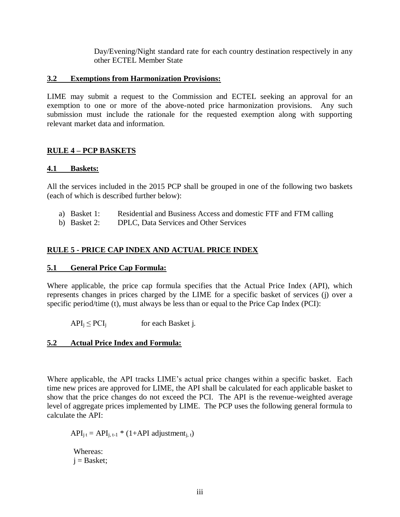Day/Evening/Night standard rate for each country destination respectively in any other ECTEL Member State

### **3.2 Exemptions from Harmonization Provisions:**

LIME may submit a request to the Commission and ECTEL seeking an approval for an exemption to one or more of the above-noted price harmonization provisions. Any such submission must include the rationale for the requested exemption along with supporting relevant market data and information.

# **RULE 4 – PCP BASKETS**

### **4.1 Baskets:**

All the services included in the 2015 PCP shall be grouped in one of the following two baskets (each of which is described further below):

- a) Basket 1: Residential and Business Access and domestic FTF and FTM calling
- b) Basket 2: DPLC, Data Services and Other Services

# **RULE 5 - PRICE CAP INDEX AND ACTUAL PRICE INDEX**

### **5.1 General Price Cap Formula:**

Where applicable, the price cap formula specifies that the Actual Price Index (API), which represents changes in prices charged by the LIME for a specific basket of services (j) over a specific period/time (t), must always be less than or equal to the Price Cap Index (PCI):

 $API_i \leq PCI_i$  for each Basket j.

# **5.2 Actual Price Index and Formula:**

Where applicable, the API tracks LIME's actual price changes within a specific basket. Each time new prices are approved for LIME, the API shall be calculated for each applicable basket to show that the price changes do not exceed the PCI. The API is the revenue-weighted average level of aggregate prices implemented by LIME. The PCP uses the following general formula to calculate the API:

 $API_{i,t} = API_{i,t-1} * (1+API \text{ adjustment}_{i,t})$ 

Whereas:  $i =$ Basket;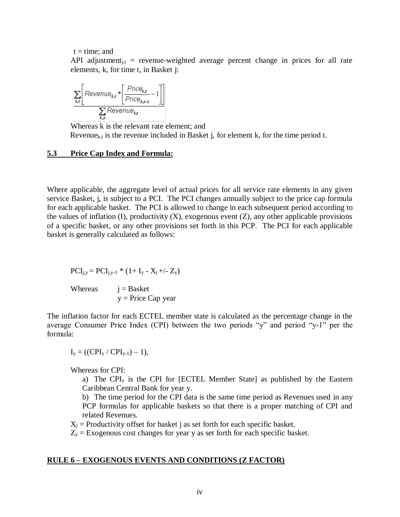$t = time$ ; and

API adjustment<sub>it</sub> = revenue-weighted average percent change in prices for all rate elements, k, for time t, in Basket j:

$$
\frac{\sum_{k,t} \left[ \text{Revenue}_{k,t} * \left[ \frac{\text{Price}_{k,t}}{\text{Price}_{k,t-1}} - 1 \right] \right]}{\sum_{k} \text{Revenue}_{k,t}}
$$

Whereas k is the relevant rate element; and Revenue<sub>k,t</sub> is the revenue included in Basket j, for element k, for the time period t.

#### **5.3 Price Cap Index and Formula:**

Where applicable, the aggregate level of actual prices for all service rate elements in any given service Basket, j, is subject to a PCI. The PCI changes annually subject to the price cap formula for each applicable basket. The PCI is allowed to change in each subsequent period according to the values of inflation (I), productivity  $(X)$ , exogenous event  $(Z)$ , any other applicable provisions of a specific basket, or any other provisions set forth in this PCP. The PCI for each applicable basket is generally calculated as follows:

$$
PCI_{j,y} = PCI_{j,y-1} * (1 + I_y - X_j + \langle -Z_y \rangle)
$$

Whereas  $i =$  Basket  $y = Price Cap year$ 

The inflation factor for each ECTEL member state is calculated as the percentage change in the average Consumer Price Index (CPI) between the two periods "y" and period "y-1" per the formula:

$$
I_y = ((CPI_y / CPI_{y-1}) - 1),
$$

Whereas for CPI:

a) The CPI<sup>y</sup> is the CPI for [ECTEL Member State] as published by the Eastern Caribbean Central Bank for year y.

b) The time period for the CPI data is the same time period as Revenues used in any PCP formulas for applicable baskets so that there is a proper matching of CPI and related Revenues.

 $X_i$  = Productivity offset for basket j as set forth for each specific basket.

 $Z_y$  = Exogenous cost changes for year y as set forth for each specific basket.

#### **RULE 6 – EXOGENOUS EVENTS AND CONDITIONS (Z FACTOR)**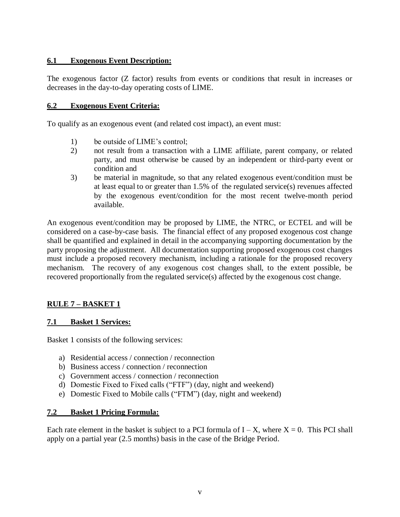# **6.1 Exogenous Event Description:**

The exogenous factor (Z factor) results from events or conditions that result in increases or decreases in the day-to-day operating costs of LIME.

# **6.2 Exogenous Event Criteria:**

To qualify as an exogenous event (and related cost impact), an event must:

- 1) be outside of LIME's control;
- 2) not result from a transaction with a LIME affiliate, parent company, or related party, and must otherwise be caused by an independent or third-party event or condition and
- 3) be material in magnitude, so that any related exogenous event/condition must be at least equal to or greater than 1.5% of the regulated service(s) revenues affected by the exogenous event/condition for the most recent twelve-month period available.

An exogenous event/condition may be proposed by LIME, the NTRC, or ECTEL and will be considered on a case-by-case basis. The financial effect of any proposed exogenous cost change shall be quantified and explained in detail in the accompanying supporting documentation by the party proposing the adjustment. All documentation supporting proposed exogenous cost changes must include a proposed recovery mechanism, including a rationale for the proposed recovery mechanism. The recovery of any exogenous cost changes shall, to the extent possible, be recovered proportionally from the regulated service(s) affected by the exogenous cost change.

# **RULE 7 – BASKET 1**

# **7.1 Basket 1 Services:**

Basket 1 consists of the following services:

- a) Residential access / connection / reconnection
- b) Business access / connection / reconnection
- c) Government access / connection / reconnection
- d) Domestic Fixed to Fixed calls ("FTF") (day, night and weekend)
- e) Domestic Fixed to Mobile calls ("FTM") (day, night and weekend)

### **7.2 Basket 1 Pricing Formula:**

Each rate element in the basket is subject to a PCI formula of  $I - X$ , where  $X = 0$ . This PCI shall apply on a partial year (2.5 months) basis in the case of the Bridge Period.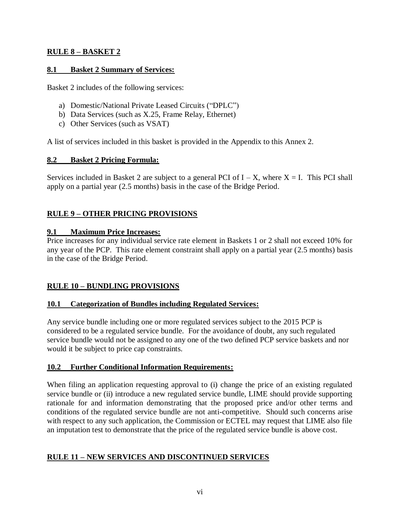# **RULE 8 – BASKET 2**

# **8.1 Basket 2 Summary of Services:**

Basket 2 includes of the following services:

- a) Domestic/National Private Leased Circuits ("DPLC")
- b) Data Services (such as X.25, Frame Relay, Ethernet)
- c) Other Services (such as VSAT)

A list of services included in this basket is provided in the Appendix to this Annex 2.

# **8.2 Basket 2 Pricing Formula:**

Services included in Basket 2 are subject to a general PCI of  $I - X$ , where  $X = I$ . This PCI shall apply on a partial year (2.5 months) basis in the case of the Bridge Period.

# **RULE 9 – OTHER PRICING PROVISIONS**

# **9.1 Maximum Price Increases:**

Price increases for any individual service rate element in Baskets 1 or 2 shall not exceed 10% for any year of the PCP. This rate element constraint shall apply on a partial year (2.5 months) basis in the case of the Bridge Period.

# **RULE 10 – BUNDLING PROVISIONS**

# **10.1 Categorization of Bundles including Regulated Services:**

Any service bundle including one or more regulated services subject to the 2015 PCP is considered to be a regulated service bundle. For the avoidance of doubt, any such regulated service bundle would not be assigned to any one of the two defined PCP service baskets and nor would it be subject to price cap constraints.

# **10.2 Further Conditional Information Requirements:**

When filing an application requesting approval to (i) change the price of an existing regulated service bundle or (ii) introduce a new regulated service bundle, LIME should provide supporting rationale for and information demonstrating that the proposed price and/or other terms and conditions of the regulated service bundle are not anti-competitive. Should such concerns arise with respect to any such application, the Commission or ECTEL may request that LIME also file an imputation test to demonstrate that the price of the regulated service bundle is above cost.

# **RULE 11 – NEW SERVICES AND DISCONTINUED SERVICES**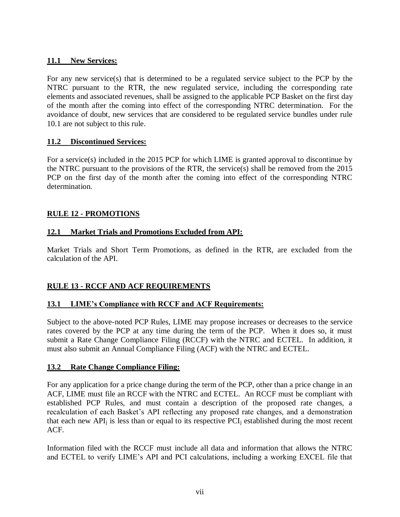## **11.1 New Services:**

For any new service(s) that is determined to be a regulated service subject to the PCP by the NTRC pursuant to the RTR, the new regulated service, including the corresponding rate elements and associated revenues, shall be assigned to the applicable PCP Basket on the first day of the month after the coming into effect of the corresponding NTRC determination. For the avoidance of doubt, new services that are considered to be regulated service bundles under rule 10.1 are not subject to this rule.

## **11.2 Discontinued Services:**

For a service(s) included in the 2015 PCP for which LIME is granted approval to discontinue by the NTRC pursuant to the provisions of the RTR, the service(s) shall be removed from the 2015 PCP on the first day of the month after the coming into effect of the corresponding NTRC determination.

# **RULE 12 - PROMOTIONS**

## **12.1 Market Trials and Promotions Excluded from API:**

Market Trials and Short Term Promotions, as defined in the RTR, are excluded from the calculation of the API.

# **RULE 13 - RCCF AND ACF REQUIREMENTS**

# **13.1 LIME's Compliance with RCCF and ACF Requirements:**

Subject to the above-noted PCP Rules, LIME may propose increases or decreases to the service rates covered by the PCP at any time during the term of the PCP. When it does so, it must submit a Rate Change Compliance Filing (RCCF) with the NTRC and ECTEL. In addition, it must also submit an Annual Compliance Filing (ACF) with the NTRC and ECTEL.

### **13.2 Rate Change Compliance Filing:**

For any application for a price change during the term of the PCP, other than a price change in an ACF, LIME must file an RCCF with the NTRC and ECTEL. An RCCF must be compliant with established PCP Rules, and must contain a description of the proposed rate changes, a recalculation of each Basket's API reflecting any proposed rate changes, and a demonstration that each new  $API_i$  is less than or equal to its respective  $PCI_i$  established during the most recent ACF.

Information filed with the RCCF must include all data and information that allows the NTRC and ECTEL to verify LIME's API and PCI calculations, including a working EXCEL file that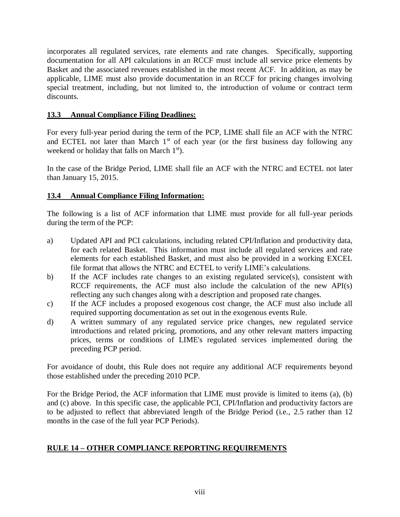incorporates all regulated services, rate elements and rate changes. Specifically, supporting documentation for all API calculations in an RCCF must include all service price elements by Basket and the associated revenues established in the most recent ACF. In addition, as may be applicable, LIME must also provide documentation in an RCCF for pricing changes involving special treatment, including, but not limited to, the introduction of volume or contract term discounts.

# **13.3 Annual Compliance Filing Deadlines:**

For every full-year period during the term of the PCP, LIME shall file an ACF with the NTRC and ECTEL not later than March  $1<sup>st</sup>$  of each year (or the first business day following any weekend or holiday that falls on March  $1<sup>st</sup>$ .

In the case of the Bridge Period, LIME shall file an ACF with the NTRC and ECTEL not later than January 15, 2015.

# **13.4 Annual Compliance Filing Information:**

The following is a list of ACF information that LIME must provide for all full-year periods during the term of the PCP:

- a) Updated API and PCI calculations, including related CPI/Inflation and productivity data, for each related Basket. This information must include all regulated services and rate elements for each established Basket, and must also be provided in a working EXCEL file format that allows the NTRC and ECTEL to verify LIME's calculations.
- b) If the ACF includes rate changes to an existing regulated service(s), consistent with RCCF requirements, the ACF must also include the calculation of the new API(s) reflecting any such changes along with a description and proposed rate changes.
- c) If the ACF includes a proposed exogenous cost change, the ACF must also include all required supporting documentation as set out in the exogenous events Rule.
- d) A written summary of any regulated service price changes, new regulated service introductions and related pricing, promotions, and any other relevant matters impacting prices, terms or conditions of LIME's regulated services implemented during the preceding PCP period.

For avoidance of doubt, this Rule does not require any additional ACF requirements beyond those established under the preceding 2010 PCP.

For the Bridge Period, the ACF information that LIME must provide is limited to items (a), (b) and (c) above. In this specific case, the applicable PCI, CPI/Inflation and productivity factors are to be adjusted to reflect that abbreviated length of the Bridge Period (i.e., 2.5 rather than 12 months in the case of the full year PCP Periods).

# **RULE 14 – OTHER COMPLIANCE REPORTING REQUIREMENTS**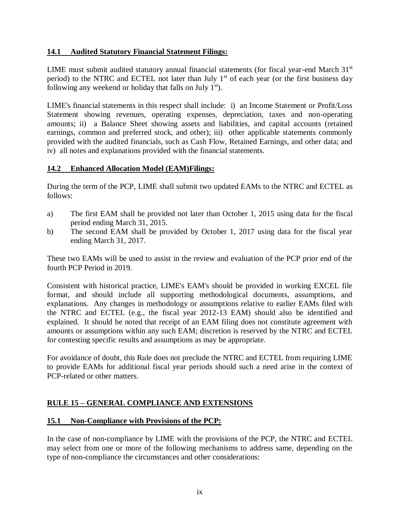# **14.1 Audited Statutory Financial Statement Filings:**

LIME must submit audited statutory annual financial statements (for fiscal year-end March  $31<sup>st</sup>$ period) to the NTRC and ECTEL not later than July 1<sup>st</sup> of each year (or the first business day following any weekend or holiday that falls on July  $1<sup>st</sup>$ .

LIME's financial statements in this respect shall include: i) an Income Statement or Profit/Loss Statement showing revenues, operating expenses, depreciation, taxes and non-operating amounts; ii) a Balance Sheet showing assets and liabilities, and capital accounts (retained earnings, common and preferred stock, and other); iii) other applicable statements commonly provided with the audited financials, such as Cash Flow, Retained Earnings, and other data; and iv) all notes and explanations provided with the financial statements.

# **14.2 Enhanced Allocation Model (EAM)Filings:**

During the term of the PCP, LIME shall submit two updated EAMs to the NTRC and ECTEL as follows:

- a) The first EAM shall be provided not later than October 1, 2015 using data for the fiscal period ending March 31, 2015.
- b) The second EAM shall be provided by October 1, 2017 using data for the fiscal year ending March 31, 2017.

These two EAMs will be used to assist in the review and evaluation of the PCP prior end of the fourth PCP Period in 2019.

Consistent with historical practice, LIME's EAM's should be provided in working EXCEL file format, and should include all supporting methodological documents, assumptions, and explanations. Any changes in methodology or assumptions relative to earlier EAMs filed with the NTRC and ECTEL (e.g., the fiscal year 2012-13 EAM) should also be identified and explained. It should be noted that receipt of an EAM filing does not constitute agreement with amounts or assumptions within any such EAM; discretion is reserved by the NTRC and ECTEL for contesting specific results and assumptions as may be appropriate.

For avoidance of doubt, this Rule does not preclude the NTRC and ECTEL from requiring LIME to provide EAMs for additional fiscal year periods should such a need arise in the context of PCP-related or other matters.

# **RULE 15 – GENERAL COMPLIANCE AND EXTENSIONS**

# **15.1 Non-Compliance with Provisions of the PCP:**

In the case of non-compliance by LIME with the provisions of the PCP, the NTRC and ECTEL may select from one or more of the following mechanisms to address same, depending on the type of non-compliance the circumstances and other considerations: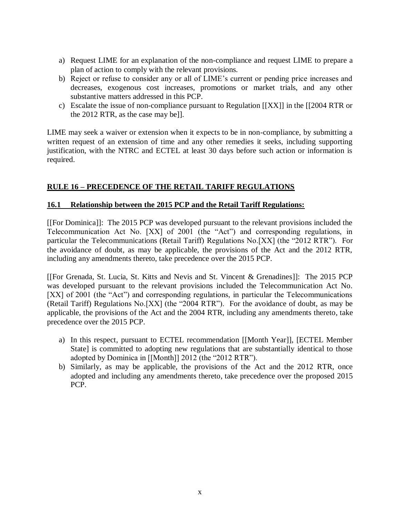- a) Request LIME for an explanation of the non-compliance and request LIME to prepare a plan of action to comply with the relevant provisions.
- b) Reject or refuse to consider any or all of LIME's current or pending price increases and decreases, exogenous cost increases, promotions or market trials, and any other substantive matters addressed in this PCP.
- c) Escalate the issue of non-compliance pursuant to Regulation [[XX]] in the [[2004 RTR or the 2012 RTR, as the case may be]].

LIME may seek a waiver or extension when it expects to be in non-compliance, by submitting a written request of an extension of time and any other remedies it seeks, including supporting justification, with the NTRC and ECTEL at least 30 days before such action or information is required.

# **RULE 16 – PRECEDENCE OF THE RETAIL TARIFF REGULATIONS**

## **16.1 Relationship between the 2015 PCP and the Retail Tariff Regulations:**

[[For Dominica]]: The 2015 PCP was developed pursuant to the relevant provisions included the Telecommunication Act No. [XX] of 2001 (the "Act") and corresponding regulations, in particular the Telecommunications (Retail Tariff) Regulations No.[XX] (the "2012 RTR"). For the avoidance of doubt, as may be applicable, the provisions of the Act and the 2012 RTR, including any amendments thereto, take precedence over the 2015 PCP.

[[For Grenada, St. Lucia, St. Kitts and Nevis and St. Vincent & Grenadines]]: The 2015 PCP was developed pursuant to the relevant provisions included the Telecommunication Act No. [XX] of 2001 (the "Act") and corresponding regulations, in particular the Telecommunications (Retail Tariff) Regulations No.[XX] (the "2004 RTR"). For the avoidance of doubt, as may be applicable, the provisions of the Act and the 2004 RTR, including any amendments thereto, take precedence over the 2015 PCP.

- a) In this respect, pursuant to ECTEL recommendation [[Month Year]], [ECTEL Member State] is committed to adopting new regulations that are substantially identical to those adopted by Dominica in [[Month]] 2012 (the "2012 RTR").
- b) Similarly, as may be applicable, the provisions of the Act and the 2012 RTR, once adopted and including any amendments thereto, take precedence over the proposed 2015 PCP.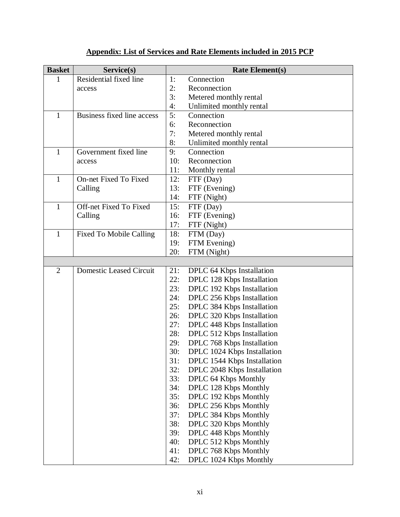| <b>Basket</b>  | Service(s)                     |            | <b>Rate Element(s)</b>                                   |
|----------------|--------------------------------|------------|----------------------------------------------------------|
| 1              | Residential fixed line         | 1:         | Connection                                               |
|                | access                         | 2:         | Reconnection                                             |
|                |                                | 3:         | Metered monthly rental                                   |
|                |                                | 4:         | Unlimited monthly rental                                 |
| $\mathbf{1}$   | Business fixed line access     | 5:         | Connection                                               |
|                |                                | 6:         | Reconnection                                             |
|                |                                | 7:         | Metered monthly rental                                   |
|                |                                | 8:         | Unlimited monthly rental                                 |
| 1              | Government fixed line          | 9:         | Connection                                               |
|                | access                         | 10:        | Reconnection                                             |
|                |                                | 11:        | Monthly rental                                           |
| 1              | On-net Fixed To Fixed          | 12:        | FTF (Day)                                                |
|                | Calling                        | 13:        | FTF (Evening)                                            |
|                |                                | 14:        | FTF (Night)                                              |
| $\mathbf{1}$   | Off-net Fixed To Fixed         | 15:        | FTF (Day)                                                |
|                | Calling                        | 16:        | FTF (Evening)                                            |
|                |                                | 17:        | FTF (Night)                                              |
| 1              | <b>Fixed To Mobile Calling</b> | 18:        | FTM (Day)                                                |
|                |                                | 19:        | FTM Evening)                                             |
|                |                                | 20:        | FTM (Night)                                              |
|                |                                |            |                                                          |
| $\overline{2}$ | <b>Domestic Leased Circuit</b> | 21:        | DPLC 64 Kbps Installation                                |
|                |                                | 22:        | DPLC 128 Kbps Installation                               |
|                |                                | 23:<br>24: | DPLC 192 Kbps Installation                               |
|                |                                | 25:        | DPLC 256 Kbps Installation<br>DPLC 384 Kbps Installation |
|                |                                | 26:        | DPLC 320 Kbps Installation                               |
|                |                                | 27:        | DPLC 448 Kbps Installation                               |
|                |                                | 28:        | DPLC 512 Kbps Installation                               |
|                |                                | 29:        | DPLC 768 Kbps Installation                               |
|                |                                | 30:        | DPLC 1024 Kbps Installation                              |
|                |                                | 31:        | DPLC 1544 Kbps Installation                              |
|                |                                | 32:        | DPLC 2048 Kbps Installation                              |
|                |                                | 33:        | DPLC 64 Kbps Monthly                                     |
|                |                                | 34:        | DPLC 128 Kbps Monthly                                    |
|                |                                | 35:        | DPLC 192 Kbps Monthly                                    |
|                |                                | 36:        | DPLC 256 Kbps Monthly                                    |
|                |                                | 37:        | DPLC 384 Kbps Monthly                                    |
|                |                                | 38:        | DPLC 320 Kbps Monthly                                    |
|                |                                | 39:        | DPLC 448 Kbps Monthly                                    |
|                |                                | 40:        | DPLC 512 Kbps Monthly                                    |
|                |                                | 41:        | DPLC 768 Kbps Monthly                                    |
|                |                                | 42:        | DPLC 1024 Kbps Monthly                                   |

# **Appendix: List of Services and Rate Elements included in 2015 PCP**